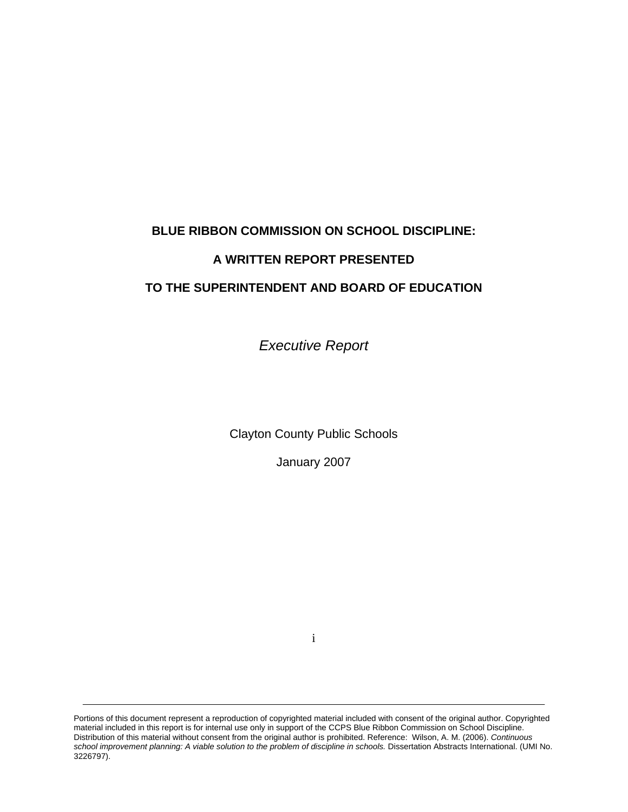# **BLUE RIBBON COMMISSION ON SCHOOL DISCIPLINE:**

# **A WRITTEN REPORT PRESENTED**

# **TO THE SUPERINTENDENT AND BOARD OF EDUCATION**

*Executive Report* 

Clayton County Public Schools

January 2007

i

Portions of this document represent a reproduction of copyrighted material included with consent of the original author. Copyrighted material included in this report is for internal use only in support of the CCPS Blue Ribbon Commission on School Discipline. Distribution of this material without consent from the original author is prohibited. Reference: Wilson, A. M. (2006). *Continuous school improvement planning: A viable solution to the problem of discipline in schools.* Dissertation Abstracts International. (UMI No. 3226797).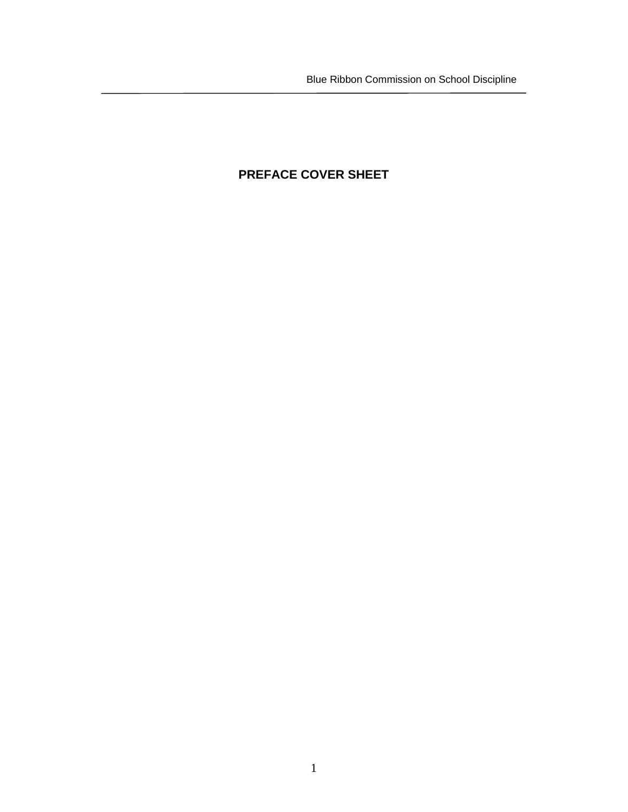# **PREFACE COVER SHEET**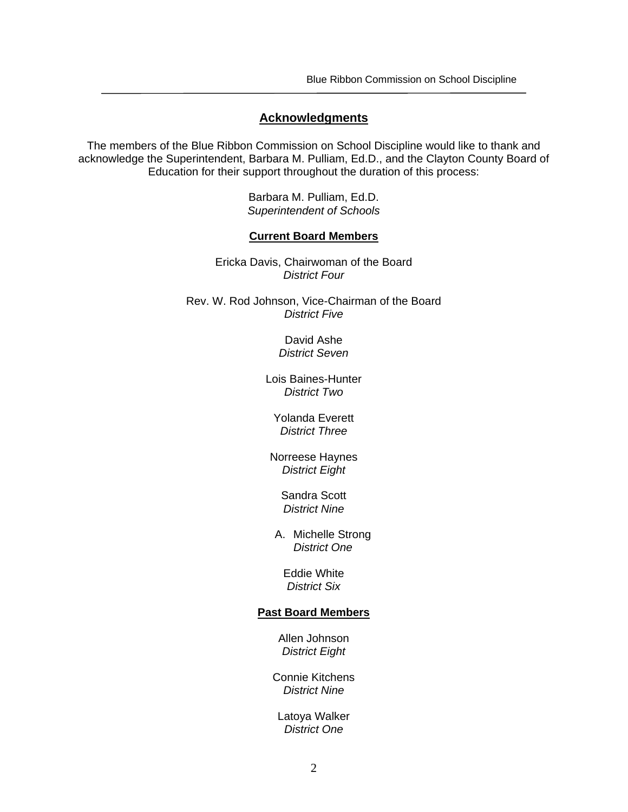#### **Acknowledgments**

The members of the Blue Ribbon Commission on School Discipline would like to thank and acknowledge the Superintendent, Barbara M. Pulliam, Ed.D., and the Clayton County Board of Education for their support throughout the duration of this process:

> Barbara M. Pulliam, Ed.D. *Superintendent of Schools*

#### **Current Board Members**

Ericka Davis, Chairwoman of the Board  *District Four* 

Rev. W. Rod Johnson, Vice-Chairman of the Board *District Five* 

> David Ashe *District Seven*

Lois Baines-Hunter *District Two* 

Yolanda Everett *District Three* 

Norreese Haynes *District Eight* 

> Sandra Scott *District Nine*

A. Michelle Strong *District One*

Eddie White *District Six* 

#### **Past Board Members**

Allen Johnson *District Eight* 

Connie Kitchens *District Nine* 

Latoya Walker *District One*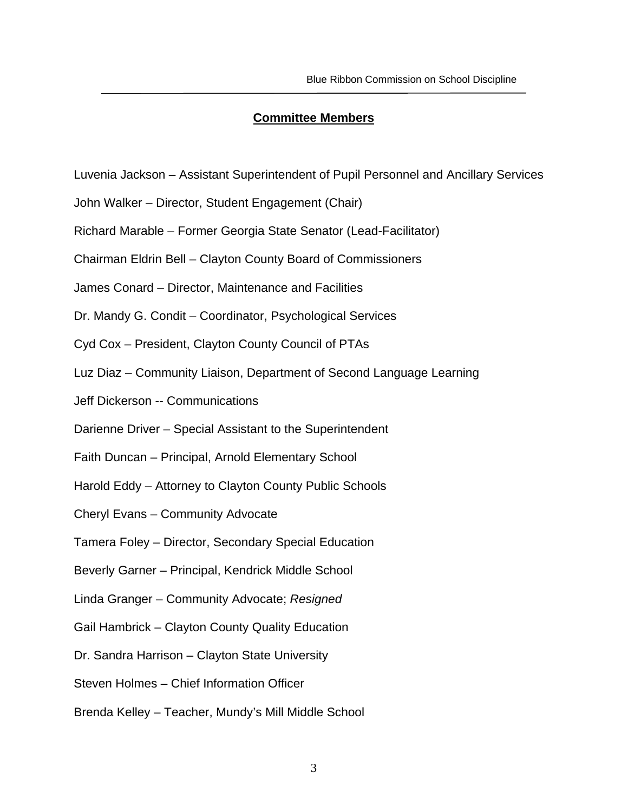#### **Committee Members**

- Luvenia Jackson Assistant Superintendent of Pupil Personnel and Ancillary Services
- John Walker Director, Student Engagement (Chair)
- Richard Marable Former Georgia State Senator (Lead-Facilitator)
- Chairman Eldrin Bell Clayton County Board of Commissioners
- James Conard Director, Maintenance and Facilities
- Dr. Mandy G. Condit Coordinator, Psychological Services
- Cyd Cox President, Clayton County Council of PTAs
- Luz Diaz Community Liaison, Department of Second Language Learning
- Jeff Dickerson -- Communications
- Darienne Driver Special Assistant to the Superintendent
- Faith Duncan Principal, Arnold Elementary School
- Harold Eddy Attorney to Clayton County Public Schools
- Cheryl Evans Community Advocate
- Tamera Foley Director, Secondary Special Education
- Beverly Garner Principal, Kendrick Middle School
- Linda Granger Community Advocate; *Resigned*
- Gail Hambrick Clayton County Quality Education
- Dr. Sandra Harrison Clayton State University
- Steven Holmes Chief Information Officer
- Brenda Kelley Teacher, Mundy's Mill Middle School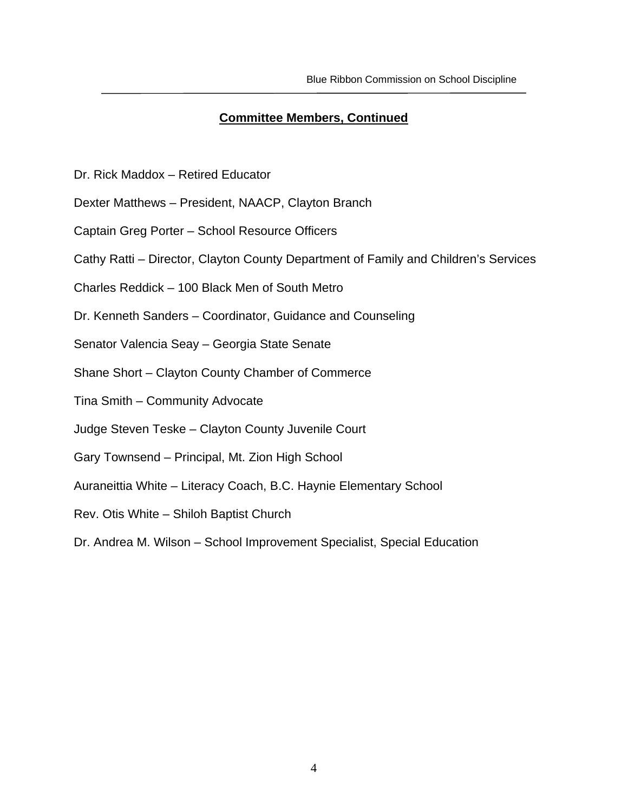## **Committee Members, Continued**

- Dr. Rick Maddox Retired Educator
- Dexter Matthews President, NAACP, Clayton Branch
- Captain Greg Porter School Resource Officers
- Cathy Ratti Director, Clayton County Department of Family and Children's Services
- Charles Reddick 100 Black Men of South Metro
- Dr. Kenneth Sanders Coordinator, Guidance and Counseling
- Senator Valencia Seay Georgia State Senate
- Shane Short Clayton County Chamber of Commerce
- Tina Smith Community Advocate
- Judge Steven Teske Clayton County Juvenile Court
- Gary Townsend Principal, Mt. Zion High School
- Auraneittia White Literacy Coach, B.C. Haynie Elementary School
- Rev. Otis White Shiloh Baptist Church
- Dr. Andrea M. Wilson School Improvement Specialist, Special Education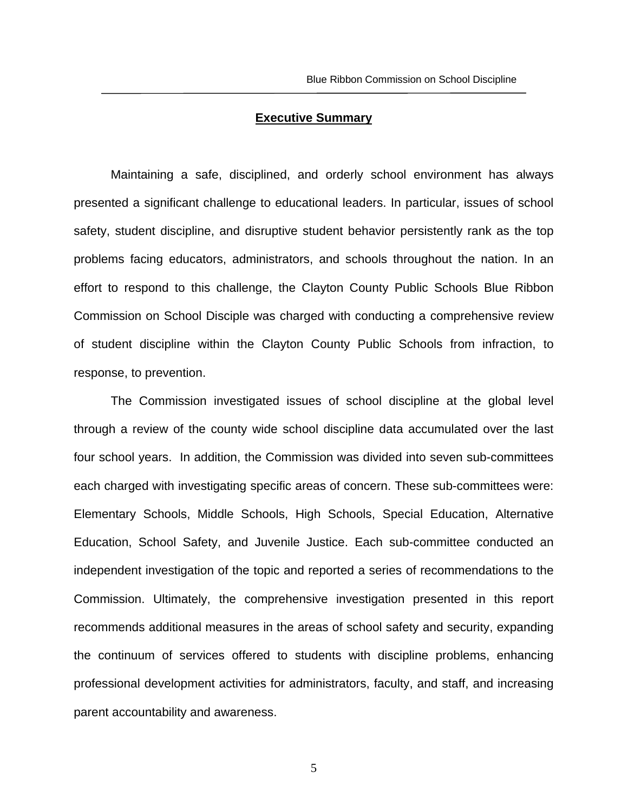#### **Executive Summary**

Maintaining a safe, disciplined, and orderly school environment has always presented a significant challenge to educational leaders. In particular, issues of school safety, student discipline, and disruptive student behavior persistently rank as the top problems facing educators, administrators, and schools throughout the nation. In an effort to respond to this challenge, the Clayton County Public Schools Blue Ribbon Commission on School Disciple was charged with conducting a comprehensive review of student discipline within the Clayton County Public Schools from infraction, to response, to prevention.

The Commission investigated issues of school discipline at the global level through a review of the county wide school discipline data accumulated over the last four school years. In addition, the Commission was divided into seven sub-committees each charged with investigating specific areas of concern. These sub-committees were: Elementary Schools, Middle Schools, High Schools, Special Education, Alternative Education, School Safety, and Juvenile Justice. Each sub-committee conducted an independent investigation of the topic and reported a series of recommendations to the Commission. Ultimately, the comprehensive investigation presented in this report recommends additional measures in the areas of school safety and security, expanding the continuum of services offered to students with discipline problems, enhancing professional development activities for administrators, faculty, and staff, and increasing parent accountability and awareness.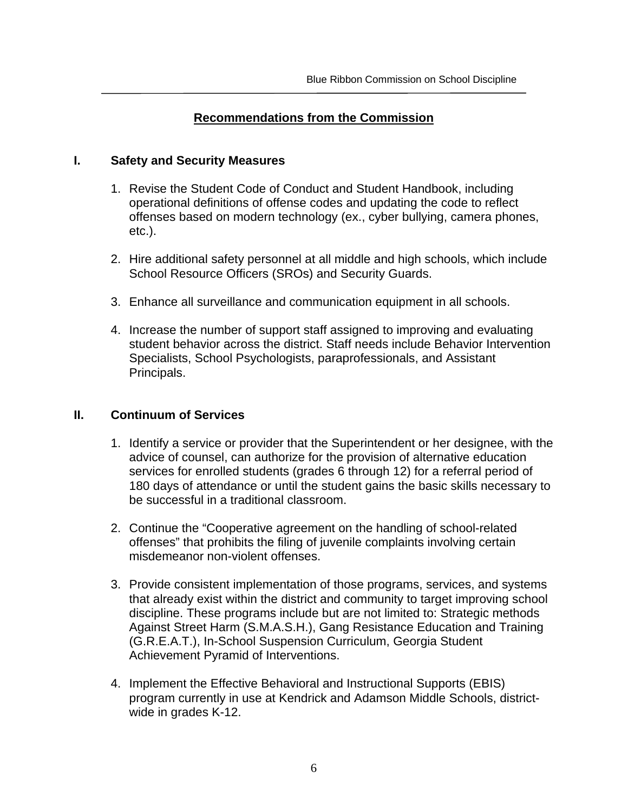## **Recommendations from the Commission**

### **I. Safety and Security Measures**

- 1. Revise the Student Code of Conduct and Student Handbook, including operational definitions of offense codes and updating the code to reflect offenses based on modern technology (ex., cyber bullying, camera phones, etc.).
- 2. Hire additional safety personnel at all middle and high schools, which include School Resource Officers (SROs) and Security Guards.
- 3. Enhance all surveillance and communication equipment in all schools.
- 4. Increase the number of support staff assigned to improving and evaluating student behavior across the district. Staff needs include Behavior Intervention Specialists, School Psychologists, paraprofessionals, and Assistant Principals.

## **II. Continuum of Services**

- 1. Identify a service or provider that the Superintendent or her designee, with the advice of counsel, can authorize for the provision of alternative education services for enrolled students (grades 6 through 12) for a referral period of 180 days of attendance or until the student gains the basic skills necessary to be successful in a traditional classroom.
- 2. Continue the "Cooperative agreement on the handling of school-related offenses" that prohibits the filing of juvenile complaints involving certain misdemeanor non-violent offenses.
- 3. Provide consistent implementation of those programs, services, and systems that already exist within the district and community to target improving school discipline. These programs include but are not limited to: Strategic methods Against Street Harm (S.M.A.S.H.), Gang Resistance Education and Training (G.R.E.A.T.), In-School Suspension Curriculum, Georgia Student Achievement Pyramid of Interventions.
- 4. Implement the Effective Behavioral and Instructional Supports (EBIS) program currently in use at Kendrick and Adamson Middle Schools, districtwide in grades K-12.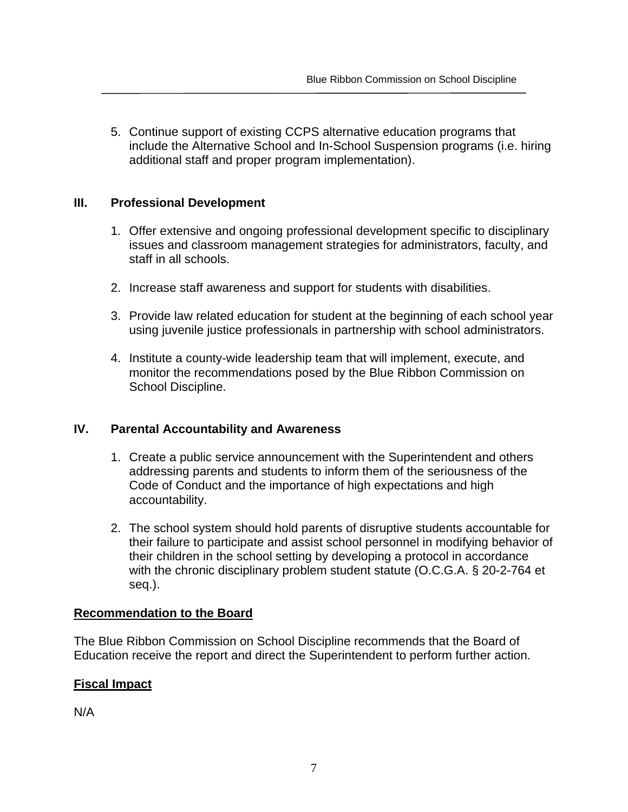5. Continue support of existing CCPS alternative education programs that include the Alternative School and In-School Suspension programs (i.e. hiring additional staff and proper program implementation).

### **III. Professional Development**

- 1. Offer extensive and ongoing professional development specific to disciplinary issues and classroom management strategies for administrators, faculty, and staff in all schools.
- 2. Increase staff awareness and support for students with disabilities.
- 3. Provide law related education for student at the beginning of each school year using juvenile justice professionals in partnership with school administrators.
- 4. Institute a county-wide leadership team that will implement, execute, and monitor the recommendations posed by the Blue Ribbon Commission on School Discipline.

## **IV. Parental Accountability and Awareness**

- 1. Create a public service announcement with the Superintendent and others addressing parents and students to inform them of the seriousness of the Code of Conduct and the importance of high expectations and high accountability.
- 2. The school system should hold parents of disruptive students accountable for their failure to participate and assist school personnel in modifying behavior of their children in the school setting by developing a protocol in accordance with the chronic disciplinary problem student statute (O.C.G.A. § 20-2-764 et seq.).

## **Recommendation to the Board**

The Blue Ribbon Commission on School Discipline recommends that the Board of Education receive the report and direct the Superintendent to perform further action.

## **Fiscal Impact**

N/A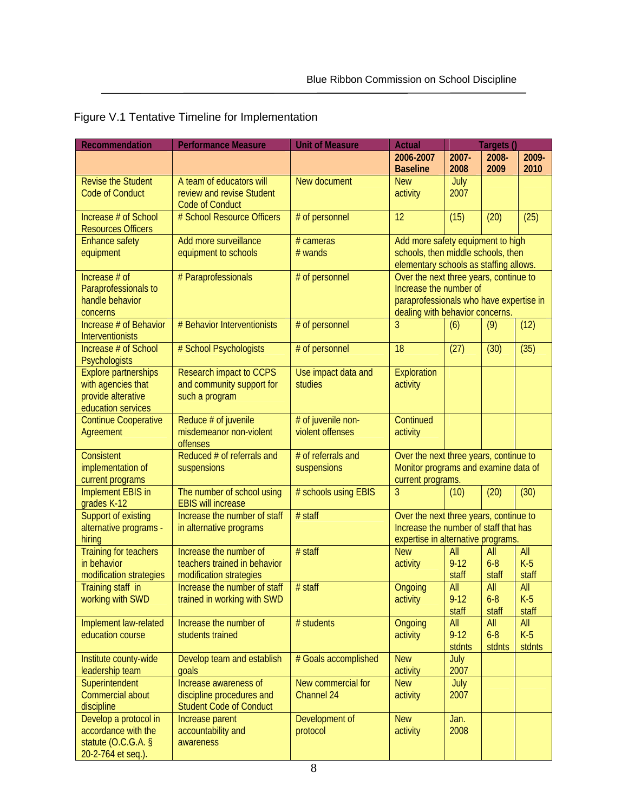| <b>Recommendation</b>                 | <b>Performance Measure</b>                                  | <b>Unit of Measure</b>                 | <b>Actual</b>                                                           |               | Targets ()     |              |
|---------------------------------------|-------------------------------------------------------------|----------------------------------------|-------------------------------------------------------------------------|---------------|----------------|--------------|
|                                       |                                                             |                                        | 2006-2007                                                               | 2007-         | 2008-          | 2009-        |
|                                       |                                                             |                                        | <b>Baseline</b>                                                         | 2008          | 2009           | 2010         |
| <b>Revise the Student</b>             | A team of educators will                                    | New document                           | <b>New</b>                                                              | July          |                |              |
| <b>Code of Conduct</b>                | review and revise Student                                   |                                        | activity                                                                | 2007          |                |              |
|                                       | <b>Code of Conduct</b>                                      |                                        |                                                                         |               |                |              |
| Increase # of School                  | # School Resource Officers                                  | # of personnel                         | 12                                                                      | (15)          | (20)           | (25)         |
| <b>Resources Officers</b>             | Add more surveillance                                       | # cameras                              |                                                                         |               |                |              |
| <b>Enhance safety</b><br>equipment    | equipment to schools                                        | $#$ wands                              | Add more safety equipment to high<br>schools, then middle schools, then |               |                |              |
|                                       |                                                             |                                        | elementary schools as staffing allows.                                  |               |                |              |
| Increase $#$ of                       | # Paraprofessionals                                         | # of personnel                         | Over the next three years, continue to                                  |               |                |              |
| Paraprofessionals to                  |                                                             |                                        | Increase the number of                                                  |               |                |              |
| handle behavior                       |                                                             |                                        | paraprofessionals who have expertise in                                 |               |                |              |
| concerns                              |                                                             |                                        | dealing with behavior concerns.                                         |               |                |              |
| Increase # of Behavior                | # Behavior Interventionists                                 | # of personnel                         | 3                                                                       | (6)           | (9)            | (12)         |
| <b>Interventionists</b>               |                                                             |                                        |                                                                         |               |                |              |
| Increase # of School                  | # School Psychologists                                      | # of personnel                         | 18                                                                      | (27)          | (30)           | (35)         |
| Psychologists                         |                                                             |                                        |                                                                         |               |                |              |
| <b>Explore partnerships</b>           | <b>Research impact to CCPS</b>                              | Use impact data and                    | Exploration                                                             |               |                |              |
| with agencies that                    | and community support for                                   | studies                                | activity                                                                |               |                |              |
| provide alterative                    | such a program                                              |                                        |                                                                         |               |                |              |
| education services                    |                                                             |                                        | Continued                                                               |               |                |              |
| <b>Continue Cooperative</b>           | Reduce # of juvenile<br>misdemeanor non-violent             | # of juvenile non-<br>violent offenses |                                                                         |               |                |              |
| Agreement                             | offenses                                                    |                                        | activity                                                                |               |                |              |
| <b>Consistent</b>                     | Reduced # of referrals and                                  | # of referrals and                     | Over the next three years, continue to                                  |               |                |              |
| implementation of                     | suspensions                                                 | suspensions                            | Monitor programs and examine data of                                    |               |                |              |
| current programs                      |                                                             |                                        | current programs.                                                       |               |                |              |
| <b>Implement EBIS in</b>              | The number of school using                                  | # schools using EBIS                   | 3                                                                       | (10)          | (20)           | (30)         |
| grades K-12                           | <b>EBIS will increase</b>                                   |                                        |                                                                         |               |                |              |
| Support of existing                   | Increase the number of staff                                | # staff                                | Over the next three years, continue to                                  |               |                |              |
| alternative programs -                | in alternative programs                                     |                                        | Increase the number of staff that has                                   |               |                |              |
| hiring                                |                                                             |                                        | expertise in alternative programs.                                      |               |                |              |
| <b>Training for teachers</b>          | Increase the number of                                      | $#$ staff                              | <b>New</b>                                                              | All           | All            | All          |
| in behavior                           | teachers trained in behavior                                |                                        | activity                                                                | $9 - 12$      | $6 - 8$        | $K-5$        |
| modification strategies               | modification strategies                                     |                                        |                                                                         | staff         | staff          | staff        |
| Training staff in<br>working with SWD | Increase the number of staff<br>trained in working with SWD | # staff                                | Ongoing<br>activity                                                     | All<br>$9-12$ | All<br>$6 - 8$ | All<br>$K-5$ |
|                                       |                                                             |                                        |                                                                         | staff         | staff          | staff        |
| Implement law-related                 | Increase the number of                                      | # students                             | Ongoing                                                                 | All           | All            | All          |
| education course                      | students trained                                            |                                        | activity                                                                | $9 - 12$      | $6 - 8$        | $K-5$        |
|                                       |                                                             |                                        |                                                                         | stdnts        | stdnts         | stdnts       |
| Institute county-wide                 | Develop team and establish                                  | # Goals accomplished                   | <b>New</b>                                                              | July          |                |              |
| leadership team                       | qoals                                                       |                                        | activity                                                                | 2007          |                |              |
| Superintendent                        | Increase awareness of                                       | New commercial for                     | <b>New</b>                                                              | July          |                |              |
| Commercial about                      | discipline procedures and                                   | Channel 24                             | activity                                                                | 2007          |                |              |
| discipline                            | <b>Student Code of Conduct</b>                              |                                        |                                                                         |               |                |              |
| Develop a protocol in                 | Increase parent                                             | Development of                         | <b>New</b>                                                              | Jan.          |                |              |
| accordance with the                   | accountability and                                          | protocol                               | activity                                                                | 2008          |                |              |
| statute $(0.C.G.A. §$                 | awareness                                                   |                                        |                                                                         |               |                |              |
| 20-2-764 et seq.).                    |                                                             |                                        |                                                                         |               |                |              |

Figure V.1 Tentative Timeline for Implementation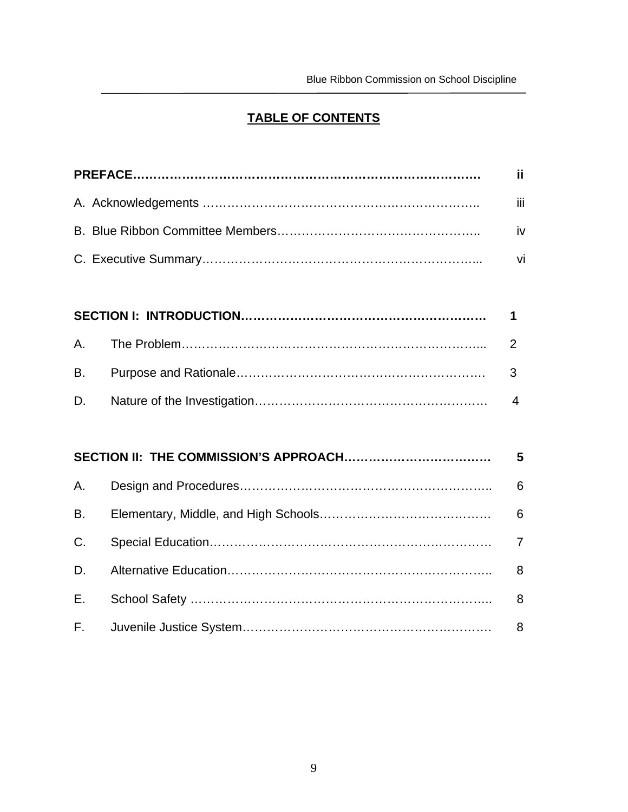# **TABLE OF CONTENTS**

|              | ii.            |
|--------------|----------------|
|              | iii            |
|              | iv             |
|              | vi             |
|              |                |
|              | 1              |
| Α.           | 2              |
| В.           | 3              |
| D.           | $\overline{4}$ |
|              |                |
|              | 5              |
| Α.           | 6              |
| <b>B.</b>    | 6              |
| C.           | $\overline{7}$ |
| D.           | 8              |
| Е.           | 8              |
| $F_{\rm{L}}$ | 8              |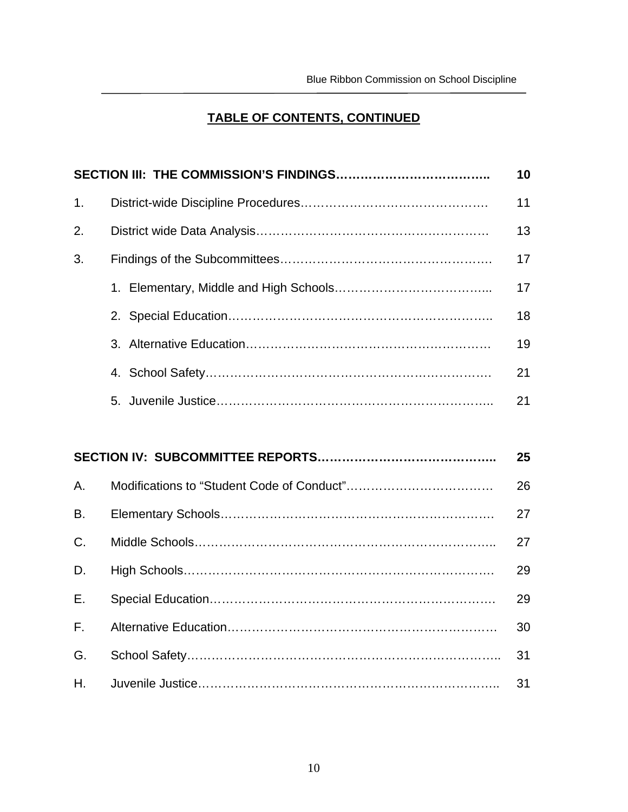# **TABLE OF CONTENTS, CONTINUED**

|    | 10 |
|----|----|
| 1. | 11 |
| 2. | 13 |
| 3. | 17 |
|    | 17 |
|    | 18 |
|    | 19 |
|    | 21 |
|    | 21 |
|    |    |

|              | 25 |
|--------------|----|
| A.           | 26 |
| <b>B.</b>    | 27 |
| C.           | 27 |
| D.           | 29 |
| E.           | 29 |
| $F_{\rm{H}}$ | 30 |
| G.           | 31 |
| $H_{\cdot}$  | 31 |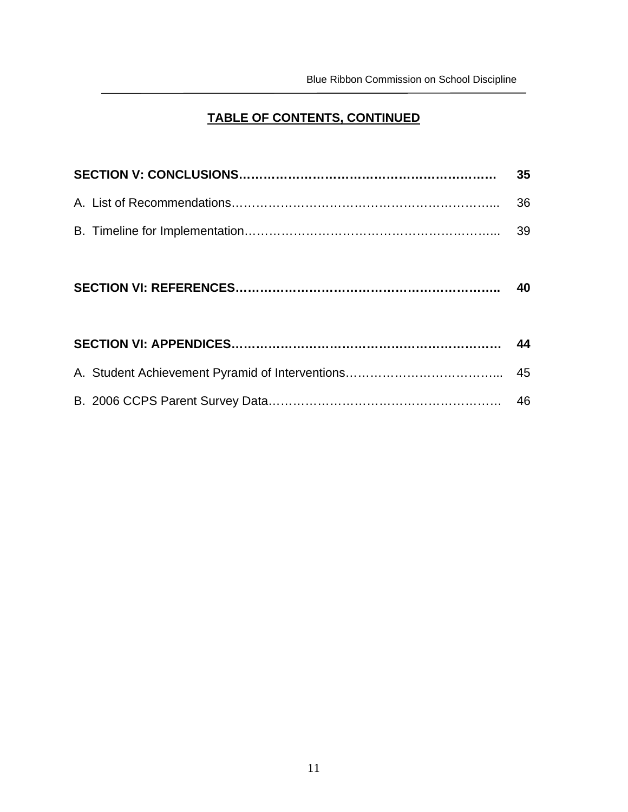# **TABLE OF CONTENTS, CONTINUED**

| 35 |
|----|
| 36 |
| 39 |
|    |
|    |
|    |
|    |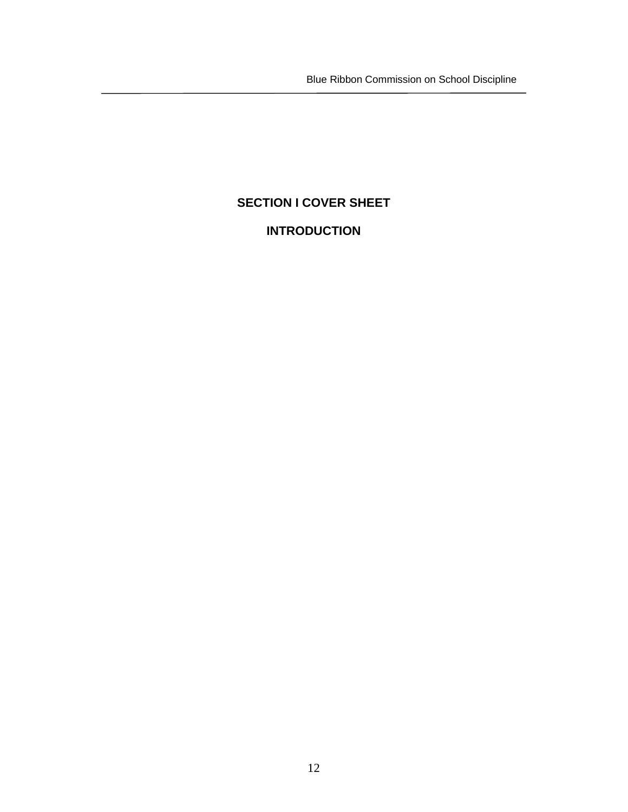Blue Ribbon Commission on School Discipline

# **SECTION I COVER SHEET**

# **INTRODUCTION**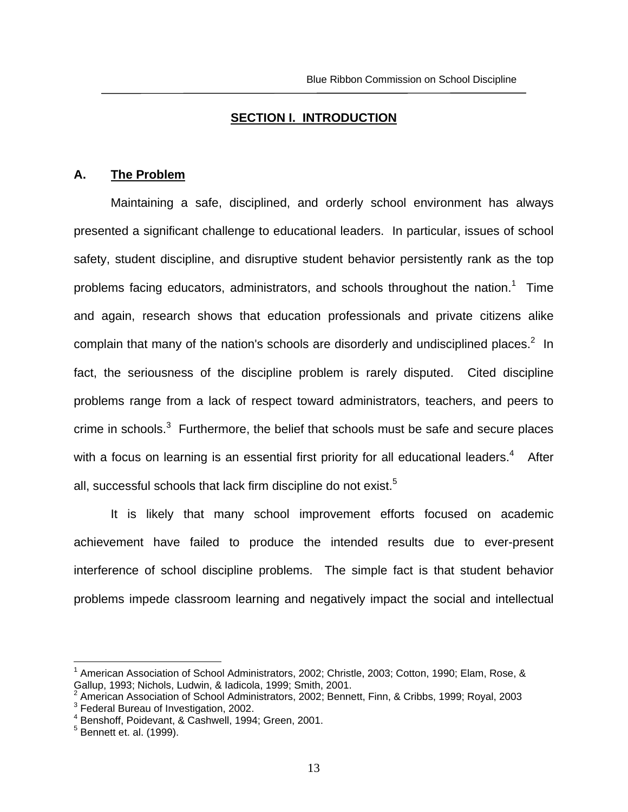#### **SECTION I. INTRODUCTION**

#### **A. The Problem**

Maintaining a safe, disciplined, and orderly school environment has always presented a significant challenge to educational leaders. In particular, issues of school safety, student discipline, and disruptive student behavior persistently rank as the top problems facing educators, administrators, and schools throughout the nation.<sup>1</sup> Time and again, research shows that education professionals and private citizens alike complain that many of the nation's schools are disorderly and undisciplined places. $2$  In fact, the seriousness of the discipline problem is rarely disputed. Cited discipline problems range from a lack of respect toward administrators, teachers, and peers to crime in schools. $3$  Furthermore, the belief that schools must be safe and secure places with a focus on learning is an essential first priority for all educational leaders. $4$  After all, successful schools that lack firm discipline do not exist.<sup>5</sup>

It is likely that many school improvement efforts focused on academic achievement have failed to produce the intended results due to ever-present interference of school discipline problems. The simple fact is that student behavior problems impede classroom learning and negatively impact the social and intellectual

 $\overline{a}$ 

<sup>&</sup>lt;sup>1</sup> American Association of School Administrators, 2002; Christle, 2003; Cotton, 1990; Elam, Rose, & Gallup, 1993; Nichols, Ludwin, & Iadicola, 1999; Smith, 2001.

<sup>2</sup> American Association of School Administrators, 2002; Bennett, Finn, & Cribbs, 1999; Royal, 2003 3 <sup>3</sup> Federal Bureau of Investigation, 2002.

<sup>4</sup> Benshoff, Poidevant, & Cashwell, 1994; Green, 2001.

<sup>&</sup>lt;sup>5</sup> Bennett et. al. (1999).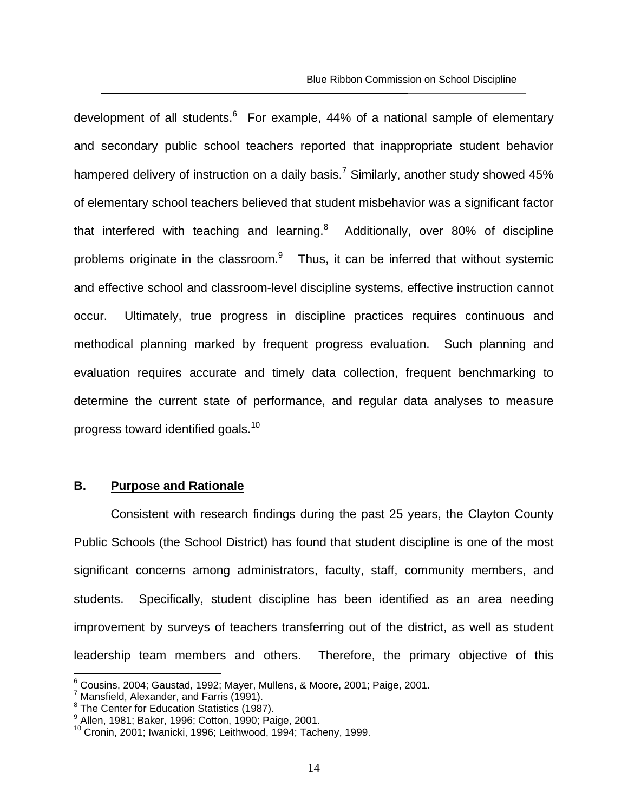development of all students.<sup>6</sup> For example, 44% of a national sample of elementary and secondary public school teachers reported that inappropriate student behavior hampered delivery of instruction on a daily basis.<sup>7</sup> Similarly, another study showed 45% of elementary school teachers believed that student misbehavior was a significant factor that interfered with teaching and learning. $8$  Additionally, over 80% of discipline problems originate in the classroom. $9$  Thus, it can be inferred that without systemic and effective school and classroom-level discipline systems, effective instruction cannot occur. Ultimately, true progress in discipline practices requires continuous and methodical planning marked by frequent progress evaluation. Such planning and evaluation requires accurate and timely data collection, frequent benchmarking to determine the current state of performance, and regular data analyses to measure progress toward identified goals.<sup>10</sup>

### **B. Purpose and Rationale**

Consistent with research findings during the past 25 years, the Clayton County Public Schools (the School District) has found that student discipline is one of the most significant concerns among administrators, faculty, staff, community members, and students. Specifically, student discipline has been identified as an area needing improvement by surveys of teachers transferring out of the district, as well as student leadership team members and others. Therefore, the primary objective of this

 6 Cousins, 2004; Gaustad, 1992; Mayer, Mullens, & Moore, 2001; Paige, 2001.

<sup>&</sup>lt;sup>7</sup> Mansfield, Alexander, and Farris (1991).

<sup>&</sup>lt;sup>8</sup> The Center for Education Statistics (1987).

<sup>9</sup> Allen, 1981; Baker, 1996; Cotton, 1990; Paige, 2001.

<sup>10</sup> Cronin, 2001; Iwanicki, 1996; Leithwood, 1994; Tacheny, 1999.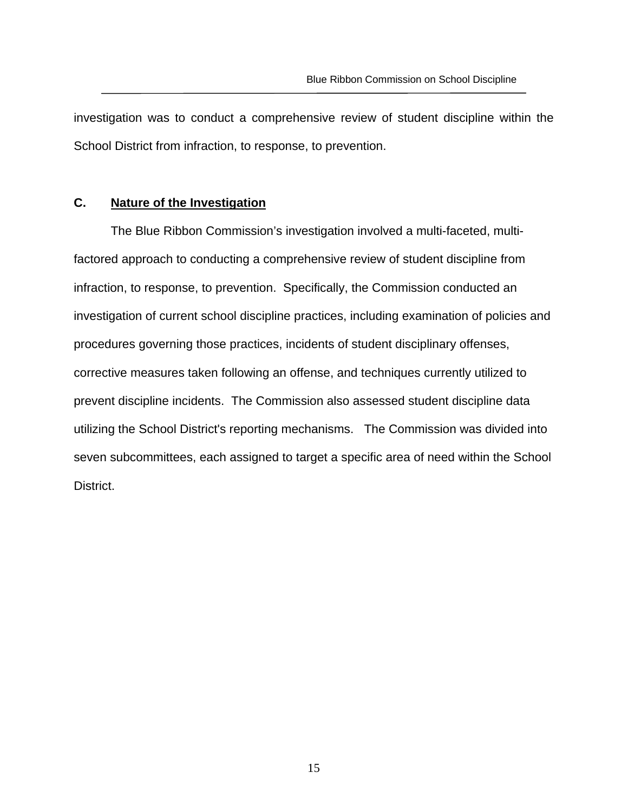investigation was to conduct a comprehensive review of student discipline within the School District from infraction, to response, to prevention.

#### **C. Nature of the Investigation**

The Blue Ribbon Commission's investigation involved a multi-faceted, multifactored approach to conducting a comprehensive review of student discipline from infraction, to response, to prevention. Specifically, the Commission conducted an investigation of current school discipline practices, including examination of policies and procedures governing those practices, incidents of student disciplinary offenses, corrective measures taken following an offense, and techniques currently utilized to prevent discipline incidents. The Commission also assessed student discipline data utilizing the School District's reporting mechanisms. The Commission was divided into seven subcommittees, each assigned to target a specific area of need within the School District.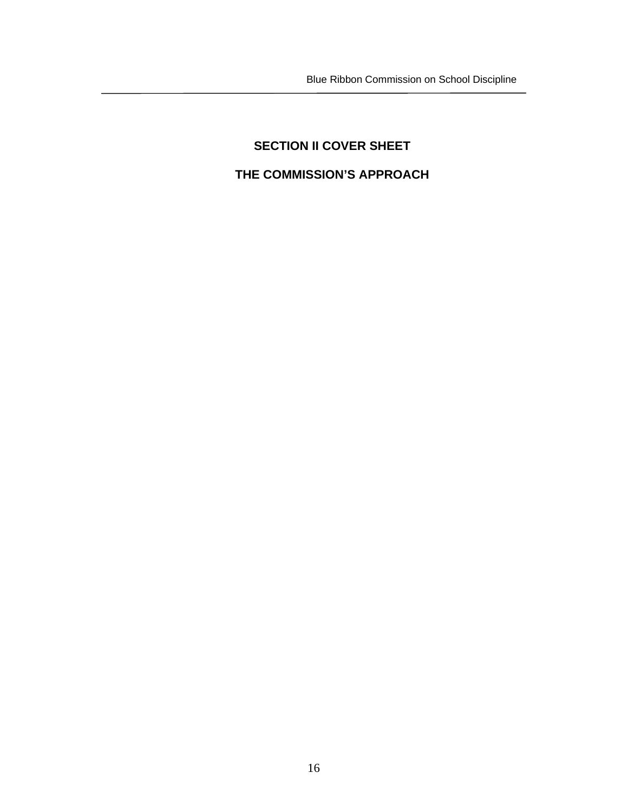Blue Ribbon Commission on School Discipline

# **SECTION II COVER SHEET THE COMMISSION'S APPROACH**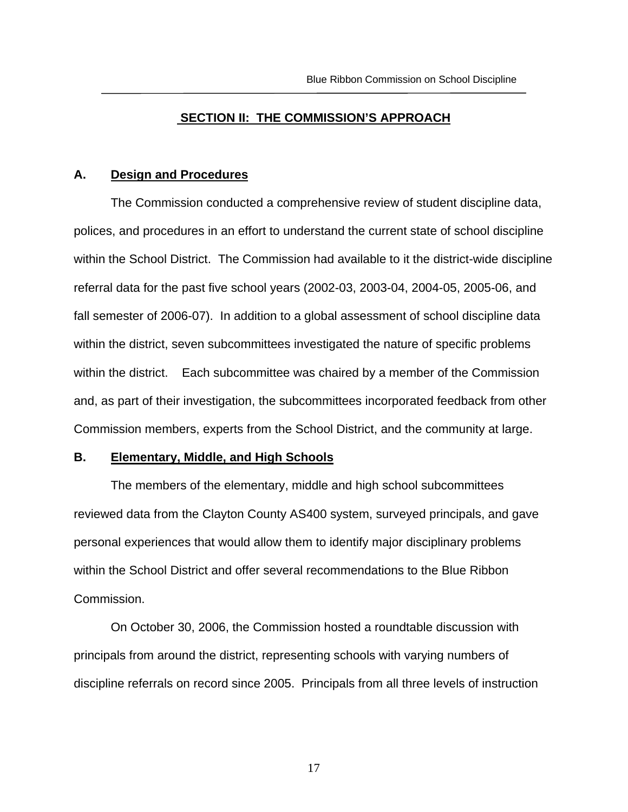#### **SECTION II: THE COMMISSION'S APPROACH**

#### **A. Design and Procedures**

The Commission conducted a comprehensive review of student discipline data, polices, and procedures in an effort to understand the current state of school discipline within the School District. The Commission had available to it the district-wide discipline referral data for the past five school years (2002-03, 2003-04, 2004-05, 2005-06, and fall semester of 2006-07). In addition to a global assessment of school discipline data within the district, seven subcommittees investigated the nature of specific problems within the district. Each subcommittee was chaired by a member of the Commission and, as part of their investigation, the subcommittees incorporated feedback from other Commission members, experts from the School District, and the community at large.

#### **B. Elementary, Middle, and High Schools**

The members of the elementary, middle and high school subcommittees reviewed data from the Clayton County AS400 system, surveyed principals, and gave personal experiences that would allow them to identify major disciplinary problems within the School District and offer several recommendations to the Blue Ribbon Commission.

On October 30, 2006, the Commission hosted a roundtable discussion with principals from around the district, representing schools with varying numbers of discipline referrals on record since 2005. Principals from all three levels of instruction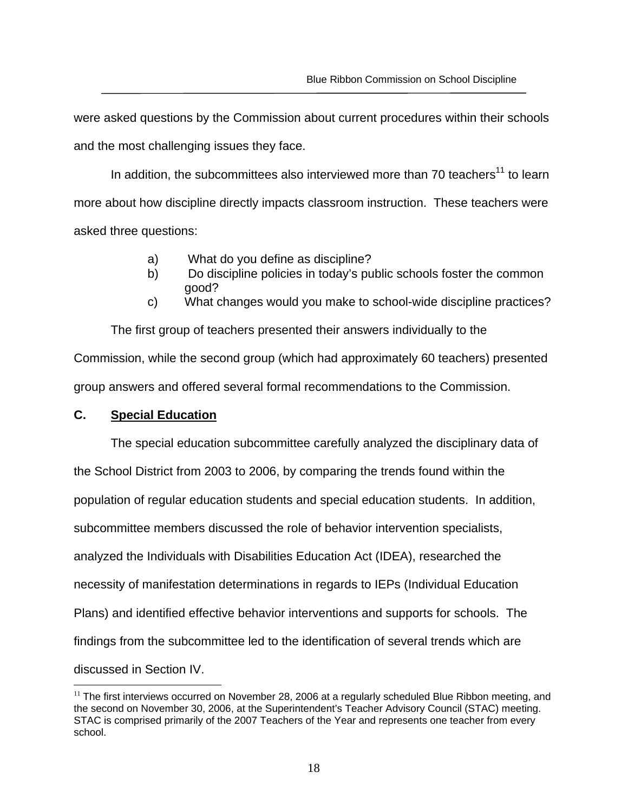were asked questions by the Commission about current procedures within their schools and the most challenging issues they face.

In addition, the subcommittees also interviewed more than 70 teachers<sup>11</sup> to learn more about how discipline directly impacts classroom instruction. These teachers were asked three questions:

- a) What do you define as discipline?
- b) Do discipline policies in today's public schools foster the common good?
- c) What changes would you make to school-wide discipline practices?

The first group of teachers presented their answers individually to the Commission, while the second group (which had approximately 60 teachers) presented group answers and offered several formal recommendations to the Commission.

## **C. Special Education**

 $\overline{a}$ 

The special education subcommittee carefully analyzed the disciplinary data of the School District from 2003 to 2006, by comparing the trends found within the population of regular education students and special education students. In addition, subcommittee members discussed the role of behavior intervention specialists, analyzed the Individuals with Disabilities Education Act (IDEA), researched the necessity of manifestation determinations in regards to IEPs (Individual Education Plans) and identified effective behavior interventions and supports for schools. The findings from the subcommittee led to the identification of several trends which are discussed in Section IV.

 $11$  The first interviews occurred on November 28, 2006 at a regularly scheduled Blue Ribbon meeting, and the second on November 30, 2006, at the Superintendent's Teacher Advisory Council (STAC) meeting. STAC is comprised primarily of the 2007 Teachers of the Year and represents one teacher from every school.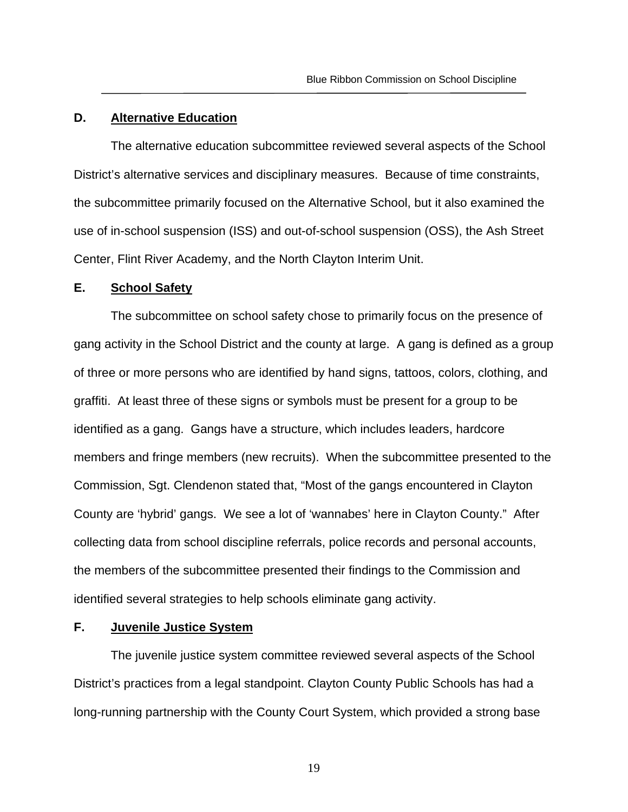#### **D. Alternative Education**

The alternative education subcommittee reviewed several aspects of the School District's alternative services and disciplinary measures. Because of time constraints, the subcommittee primarily focused on the Alternative School, but it also examined the use of in-school suspension (ISS) and out-of-school suspension (OSS), the Ash Street Center, Flint River Academy, and the North Clayton Interim Unit.

### **E. School Safety**

The subcommittee on school safety chose to primarily focus on the presence of gang activity in the School District and the county at large. A gang is defined as a group of three or more persons who are identified by hand signs, tattoos, colors, clothing, and graffiti. At least three of these signs or symbols must be present for a group to be identified as a gang. Gangs have a structure, which includes leaders, hardcore members and fringe members (new recruits). When the subcommittee presented to the Commission, Sgt. Clendenon stated that, "Most of the gangs encountered in Clayton County are 'hybrid' gangs. We see a lot of 'wannabes' here in Clayton County." After collecting data from school discipline referrals, police records and personal accounts, the members of the subcommittee presented their findings to the Commission and identified several strategies to help schools eliminate gang activity.

## **F. Juvenile Justice System**

The juvenile justice system committee reviewed several aspects of the School District's practices from a legal standpoint. Clayton County Public Schools has had a long-running partnership with the County Court System, which provided a strong base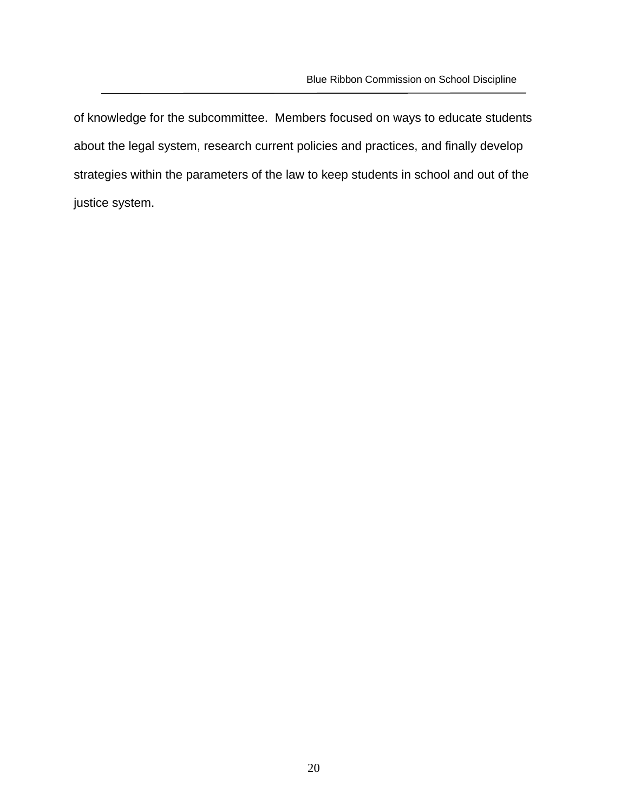of knowledge for the subcommittee. Members focused on ways to educate students about the legal system, research current policies and practices, and finally develop strategies within the parameters of the law to keep students in school and out of the justice system.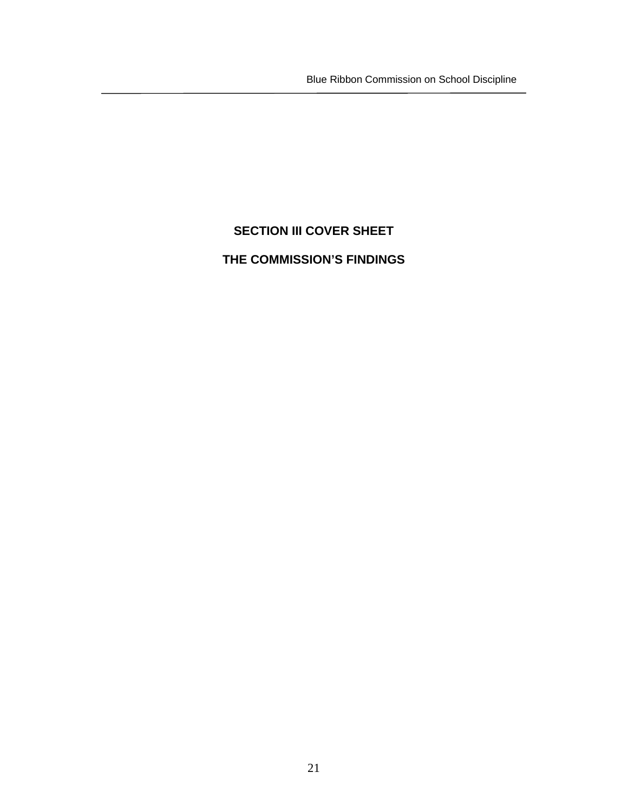Blue Ribbon Commission on School Discipline

# **SECTION III COVER SHEET**

# **THE COMMISSION'S FINDINGS**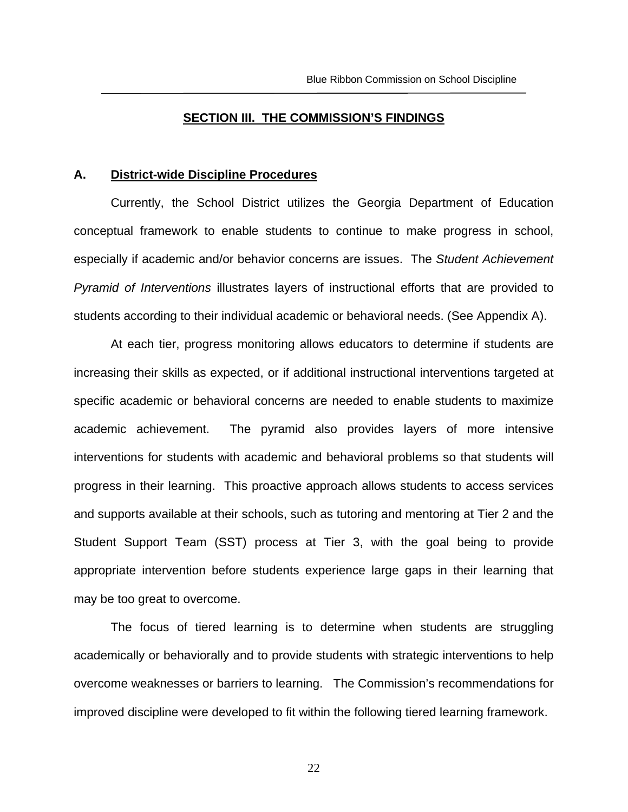#### **SECTION III. THE COMMISSION'S FINDINGS**

#### **A. District-wide Discipline Procedures**

Currently, the School District utilizes the Georgia Department of Education conceptual framework to enable students to continue to make progress in school, especially if academic and/or behavior concerns are issues. The *Student Achievement Pyramid of Interventions* illustrates layers of instructional efforts that are provided to students according to their individual academic or behavioral needs. (See Appendix A).

At each tier, progress monitoring allows educators to determine if students are increasing their skills as expected, or if additional instructional interventions targeted at specific academic or behavioral concerns are needed to enable students to maximize academic achievement. The pyramid also provides layers of more intensive interventions for students with academic and behavioral problems so that students will progress in their learning. This proactive approach allows students to access services and supports available at their schools, such as tutoring and mentoring at Tier 2 and the Student Support Team (SST) process at Tier 3, with the goal being to provide appropriate intervention before students experience large gaps in their learning that may be too great to overcome.

The focus of tiered learning is to determine when students are struggling academically or behaviorally and to provide students with strategic interventions to help overcome weaknesses or barriers to learning. The Commission's recommendations for improved discipline were developed to fit within the following tiered learning framework.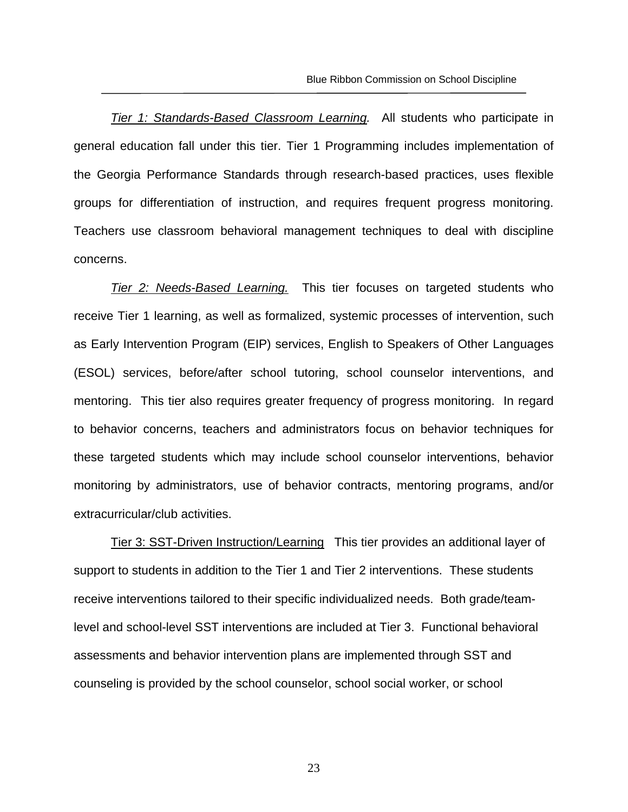*Tier 1: Standards-Based Classroom Learning.* All students who participate in general education fall under this tier. Tier 1 Programming includes implementation of the Georgia Performance Standards through research-based practices, uses flexible groups for differentiation of instruction, and requires frequent progress monitoring. Teachers use classroom behavioral management techniques to deal with discipline concerns.

*Tier 2: Needs-Based Learning.* This tier focuses on targeted students who receive Tier 1 learning, as well as formalized, systemic processes of intervention, such as Early Intervention Program (EIP) services, English to Speakers of Other Languages (ESOL) services, before/after school tutoring, school counselor interventions, and mentoring. This tier also requires greater frequency of progress monitoring. In regard to behavior concerns, teachers and administrators focus on behavior techniques for these targeted students which may include school counselor interventions, behavior monitoring by administrators, use of behavior contracts, mentoring programs, and/or extracurricular/club activities.

 Tier 3: SST-Driven Instruction/Learning This tier provides an additional layer of support to students in addition to the Tier 1 and Tier 2 interventions. These students receive interventions tailored to their specific individualized needs. Both grade/teamlevel and school-level SST interventions are included at Tier 3. Functional behavioral assessments and behavior intervention plans are implemented through SST and counseling is provided by the school counselor, school social worker, or school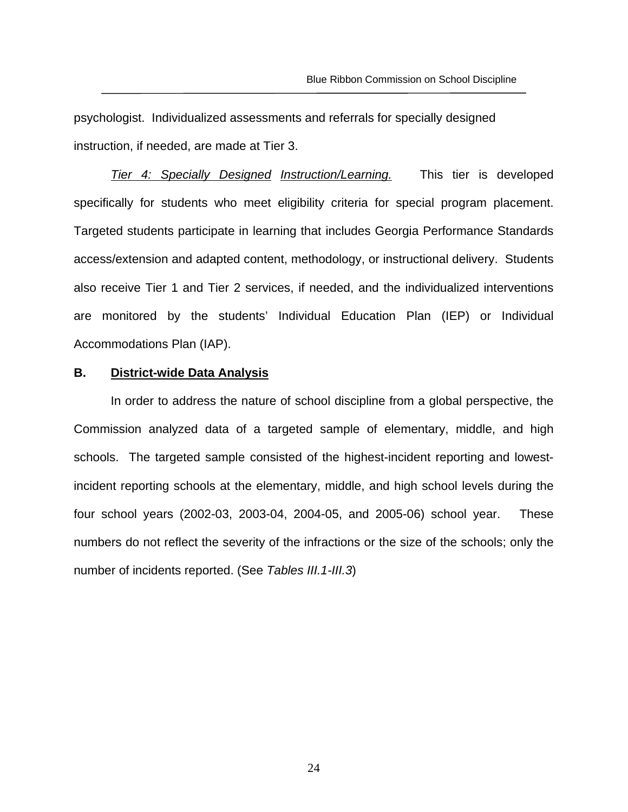psychologist. Individualized assessments and referrals for specially designed instruction, if needed, are made at Tier 3.

*Tier 4: Specially Designed Instruction/Learning.* This tier is developed specifically for students who meet eligibility criteria for special program placement. Targeted students participate in learning that includes Georgia Performance Standards access/extension and adapted content, methodology, or instructional delivery. Students also receive Tier 1 and Tier 2 services, if needed, and the individualized interventions are monitored by the students' Individual Education Plan (IEP) or Individual Accommodations Plan (IAP).

#### **B. District-wide Data Analysis**

In order to address the nature of school discipline from a global perspective, the Commission analyzed data of a targeted sample of elementary, middle, and high schools. The targeted sample consisted of the highest-incident reporting and lowestincident reporting schools at the elementary, middle, and high school levels during the four school years (2002-03, 2003-04, 2004-05, and 2005-06) school year. These numbers do not reflect the severity of the infractions or the size of the schools; only the number of incidents reported. (See *Tables III.1-III.3*)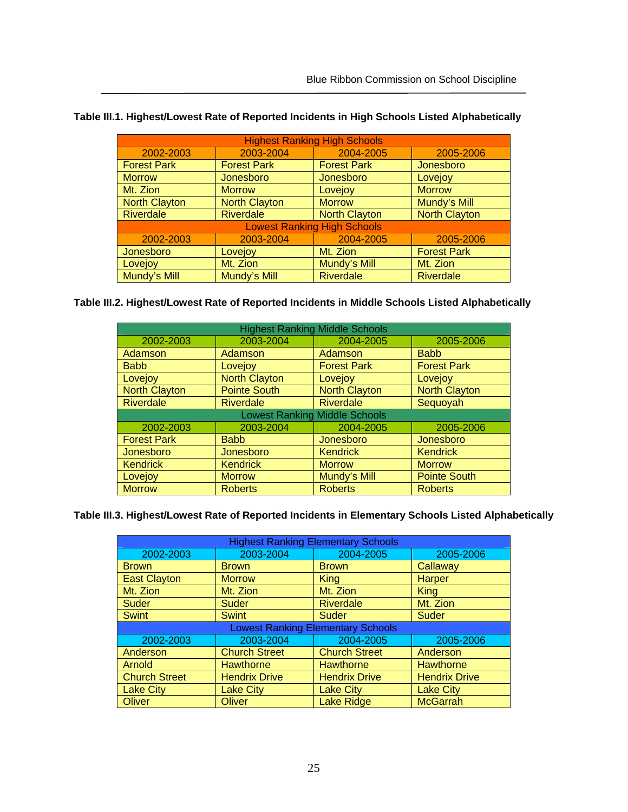| <b>Highest Ranking High Schools</b> |                                     |                                    |                      |  |  |
|-------------------------------------|-------------------------------------|------------------------------------|----------------------|--|--|
| 2002-2003                           | 2003-2004<br>2004-2005<br>2005-2006 |                                    |                      |  |  |
| <b>Forest Park</b>                  | <b>Forest Park</b>                  | <b>Forest Park</b>                 | Jonesboro            |  |  |
| <b>Morrow</b>                       | Jonesboro                           | Jonesboro                          | Lovejoy              |  |  |
| Mt. Zion                            | <b>Morrow</b>                       | Lovejoy                            | <b>Morrow</b>        |  |  |
| <b>North Clayton</b>                | <b>North Clayton</b>                | <b>Morrow</b>                      | Mundy's Mill         |  |  |
| <b>Riverdale</b>                    | <b>Riverdale</b>                    | <b>North Clayton</b>               | <b>North Clayton</b> |  |  |
|                                     |                                     | <b>Lowest Ranking High Schools</b> |                      |  |  |
| 2002-2003                           | 2003-2004                           | 2004-2005                          | 2005-2006            |  |  |
| Jonesboro                           | Lovejoy                             | Mt. Zion                           | <b>Forest Park</b>   |  |  |
| Lovejoy                             | Mt. Zion                            | Mundy's Mill                       | Mt. Zion             |  |  |
| Mundy's Mill                        | Mundy's Mill                        | <b>Riverdale</b>                   | <b>Riverdale</b>     |  |  |

| Table III.1. Highest/Lowest Rate of Reported Incidents in High Schools Listed Alphabetically |  |
|----------------------------------------------------------------------------------------------|--|
|                                                                                              |  |
|                                                                                              |  |

# **Table III.2. Highest/Lowest Rate of Reported Incidents in Middle Schools Listed Alphabetically**

| <b>Highest Ranking Middle Schools</b> |                      |                                      |                      |
|---------------------------------------|----------------------|--------------------------------------|----------------------|
| 2002-2003                             | 2003-2004            | 2004-2005                            | 2005-2006            |
| Adamson                               | Adamson              | Adamson                              | <b>Babb</b>          |
| <b>Babb</b>                           | Lovejoy              | <b>Forest Park</b>                   | <b>Forest Park</b>   |
| Lovejoy                               | <b>North Clayton</b> | Lovejoy                              | Lovejoy              |
| <b>North Clayton</b>                  | <b>Pointe South</b>  | <b>North Clayton</b>                 | <b>North Clayton</b> |
| <b>Riverdale</b>                      | <b>Riverdale</b>     | <b>Riverdale</b>                     | Sequoyah             |
|                                       |                      | <b>Lowest Ranking Middle Schools</b> |                      |
| 2002-2003                             | 2003-2004            | 2004-2005                            | 2005-2006            |
| <b>Forest Park</b>                    | <b>Babb</b>          | Jonesboro                            | Jonesboro            |
| Jonesboro                             | Jonesboro            | <b>Kendrick</b>                      | <b>Kendrick</b>      |
| <b>Kendrick</b>                       | <b>Kendrick</b>      | <b>Morrow</b>                        | <b>Morrow</b>        |
| Lovejoy                               | <b>Morrow</b>        | Mundy's Mill                         | <b>Pointe South</b>  |
| <b>Morrow</b>                         | <b>Roberts</b>       | <b>Roberts</b>                       | <b>Roberts</b>       |

**Table III.3. Highest/Lowest Rate of Reported Incidents in Elementary Schools Listed Alphabetically** 

| <b>Highest Ranking Elementary Schools</b> |                      |                                          |                      |
|-------------------------------------------|----------------------|------------------------------------------|----------------------|
| 2002-2003                                 | 2003-2004            | 2004-2005                                | 2005-2006            |
| <b>Brown</b>                              | <b>Brown</b>         | <b>Brown</b>                             | Callaway             |
| <b>East Clayton</b>                       | <b>Morrow</b>        | <b>King</b>                              | Harper               |
| Mt. Zion                                  | Mt. Zion             | Mt. Zion                                 | <b>King</b>          |
| Suder                                     | Suder                | <b>Riverdale</b>                         | Mt. Zion             |
| <b>Swint</b>                              | <b>Swint</b>         | <b>Suder</b>                             | Suder                |
|                                           |                      | <b>Lowest Ranking Elementary Schools</b> |                      |
| 2002-2003                                 | 2003-2004            | 2004-2005                                | 2005-2006            |
| Anderson                                  | <b>Church Street</b> | <b>Church Street</b>                     | Anderson             |
| Arnold                                    | <b>Hawthorne</b>     | <b>Hawthorne</b>                         | <b>Hawthorne</b>     |
| <b>Church Street</b>                      | <b>Hendrix Drive</b> | <b>Hendrix Drive</b>                     | <b>Hendrix Drive</b> |
| <b>Lake City</b>                          | <b>Lake City</b>     | <b>Lake City</b>                         | <b>Lake City</b>     |
| <b>Oliver</b>                             | Oliver               | <b>Lake Ridge</b>                        | <b>McGarrah</b>      |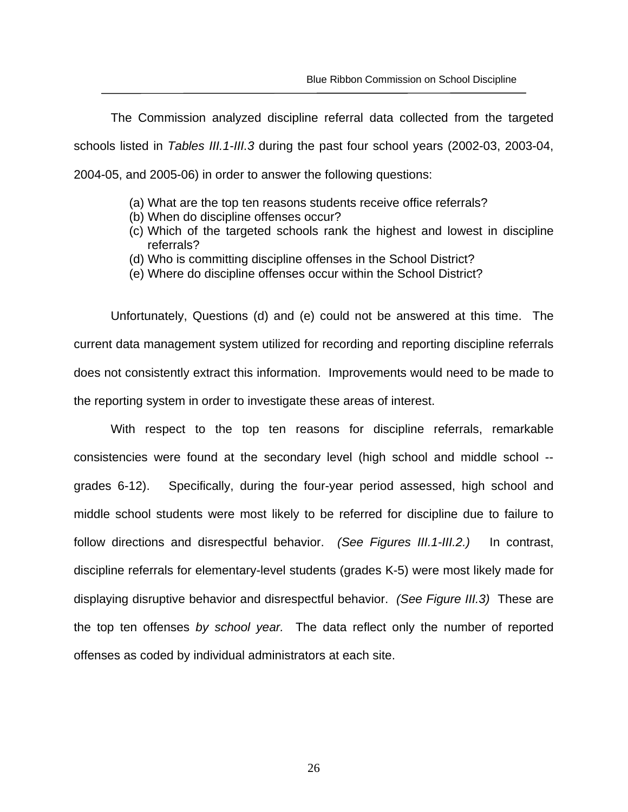The Commission analyzed discipline referral data collected from the targeted schools listed in *Tables III.1-III.3* during the past four school years (2002-03, 2003-04, 2004-05, and 2005-06) in order to answer the following questions:

- (a) What are the top ten reasons students receive office referrals?
- (b) When do discipline offenses occur?
- (c) Which of the targeted schools rank the highest and lowest in discipline referrals?
- (d) Who is committing discipline offenses in the School District?
- (e) Where do discipline offenses occur within the School District?

Unfortunately, Questions (d) and (e) could not be answered at this time. The current data management system utilized for recording and reporting discipline referrals does not consistently extract this information. Improvements would need to be made to the reporting system in order to investigate these areas of interest.

With respect to the top ten reasons for discipline referrals, remarkable consistencies were found at the secondary level (high school and middle school - grades 6-12). Specifically, during the four-year period assessed, high school and middle school students were most likely to be referred for discipline due to failure to follow directions and disrespectful behavior. *(See Figures III.1-III.2.)* In contrast, discipline referrals for elementary-level students (grades K-5) were most likely made for displaying disruptive behavior and disrespectful behavior. *(See Figure III.3)* These are the top ten offenses *by school year.* The data reflect only the number of reported offenses as coded by individual administrators at each site.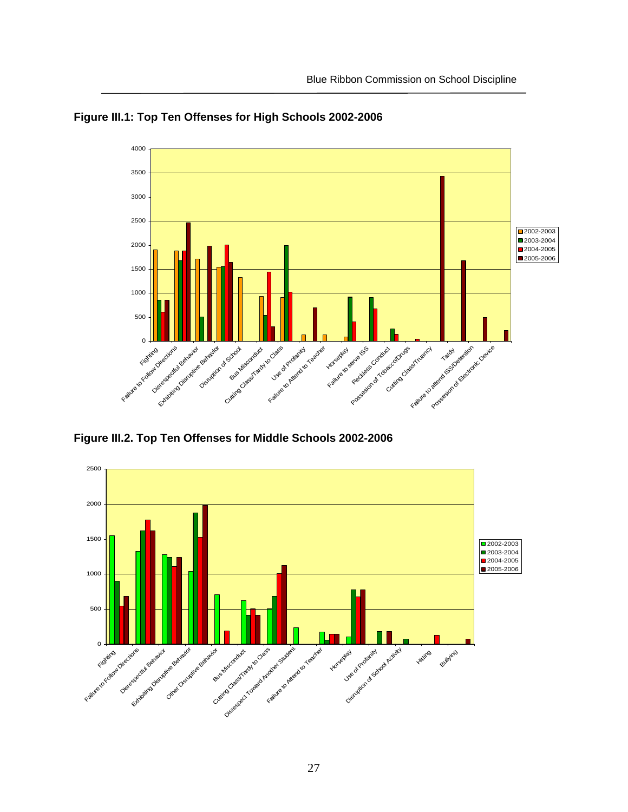

**Figure III.1: Top Ten Offenses for High Schools 2002-2006** 

**Figure III.2. Top Ten Offenses for Middle Schools 2002-2006**

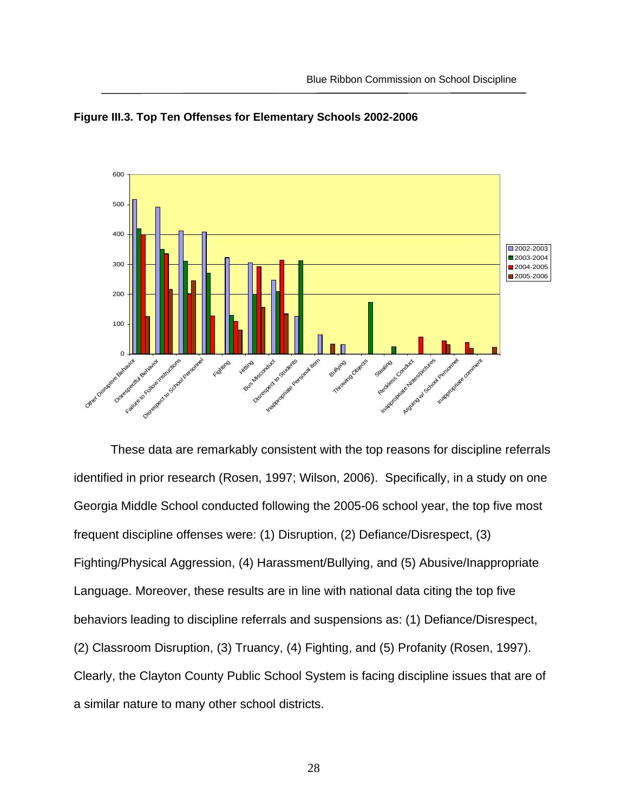



These data are remarkably consistent with the top reasons for discipline referrals identified in prior research (Rosen, 1997; Wilson, 2006). Specifically, in a study on one Georgia Middle School conducted following the 2005-06 school year, the top five most frequent discipline offenses were: (1) Disruption, (2) Defiance/Disrespect, (3) Fighting/Physical Aggression, (4) Harassment/Bullying, and (5) Abusive/Inappropriate Language. Moreover, these results are in line with national data citing the top five behaviors leading to discipline referrals and suspensions as: (1) Defiance/Disrespect, (2) Classroom Disruption, (3) Truancy, (4) Fighting, and (5) Profanity (Rosen, 1997). Clearly, the Clayton County Public School System is facing discipline issues that are of a similar nature to many other school districts.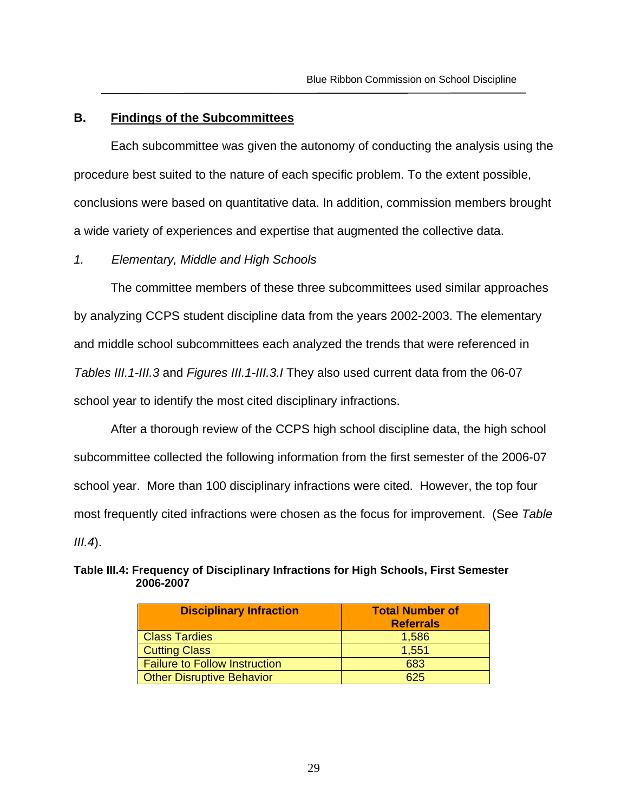#### **B. Findings of the Subcommittees**

Each subcommittee was given the autonomy of conducting the analysis using the procedure best suited to the nature of each specific problem. To the extent possible, conclusions were based on quantitative data. In addition, commission members brought a wide variety of experiences and expertise that augmented the collective data.

#### *1. Elementary, Middle and High Schools*

The committee members of these three subcommittees used similar approaches by analyzing CCPS student discipline data from the years 2002-2003. The elementary and middle school subcommittees each analyzed the trends that were referenced in *Tables III.1-III.3* and *Figures III.1-III.3.I* They also used current data from the 06-07 school year to identify the most cited disciplinary infractions.

After a thorough review of the CCPS high school discipline data, the high school subcommittee collected the following information from the first semester of the 2006-07 school year. More than 100 disciplinary infractions were cited. However, the top four most frequently cited infractions were chosen as the focus for improvement. (See *Table III.4*).

| <b>Disciplinary Infraction</b>       | <b>Total Number of</b><br><b>Referrals</b> |
|--------------------------------------|--------------------------------------------|
| <b>Class Tardies</b>                 | 1,586                                      |
| <b>Cutting Class</b>                 | 1,551                                      |
| <b>Failure to Follow Instruction</b> | 683                                        |
| <b>Other Disruptive Behavior</b>     | 625                                        |

#### **Table III.4: Frequency of Disciplinary Infractions for High Schools, First Semester 2006-2007**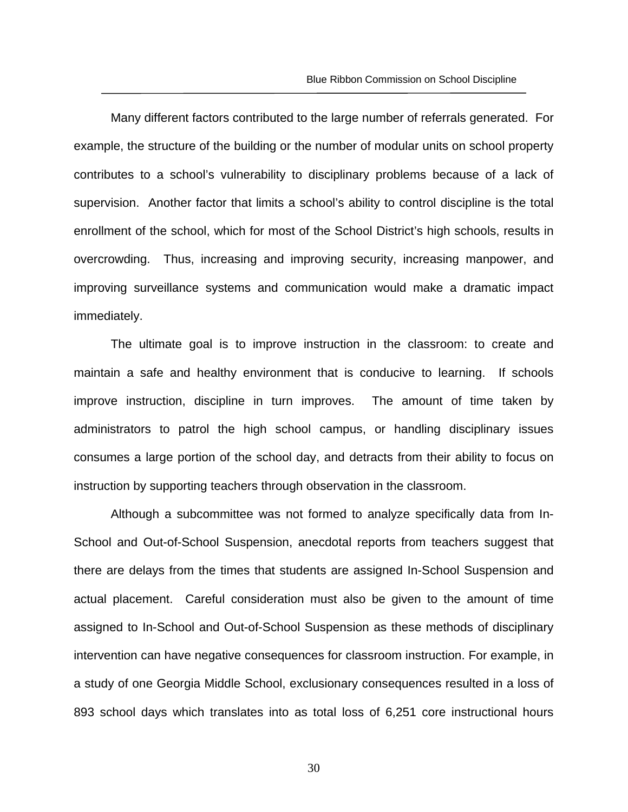Many different factors contributed to the large number of referrals generated. For example, the structure of the building or the number of modular units on school property contributes to a school's vulnerability to disciplinary problems because of a lack of supervision. Another factor that limits a school's ability to control discipline is the total enrollment of the school, which for most of the School District's high schools, results in overcrowding. Thus, increasing and improving security, increasing manpower, and improving surveillance systems and communication would make a dramatic impact immediately.

The ultimate goal is to improve instruction in the classroom: to create and maintain a safe and healthy environment that is conducive to learning. If schools improve instruction, discipline in turn improves. The amount of time taken by administrators to patrol the high school campus, or handling disciplinary issues consumes a large portion of the school day, and detracts from their ability to focus on instruction by supporting teachers through observation in the classroom.

Although a subcommittee was not formed to analyze specifically data from In-School and Out-of-School Suspension, anecdotal reports from teachers suggest that there are delays from the times that students are assigned In-School Suspension and actual placement. Careful consideration must also be given to the amount of time assigned to In-School and Out-of-School Suspension as these methods of disciplinary intervention can have negative consequences for classroom instruction. For example, in a study of one Georgia Middle School, exclusionary consequences resulted in a loss of 893 school days which translates into as total loss of 6,251 core instructional hours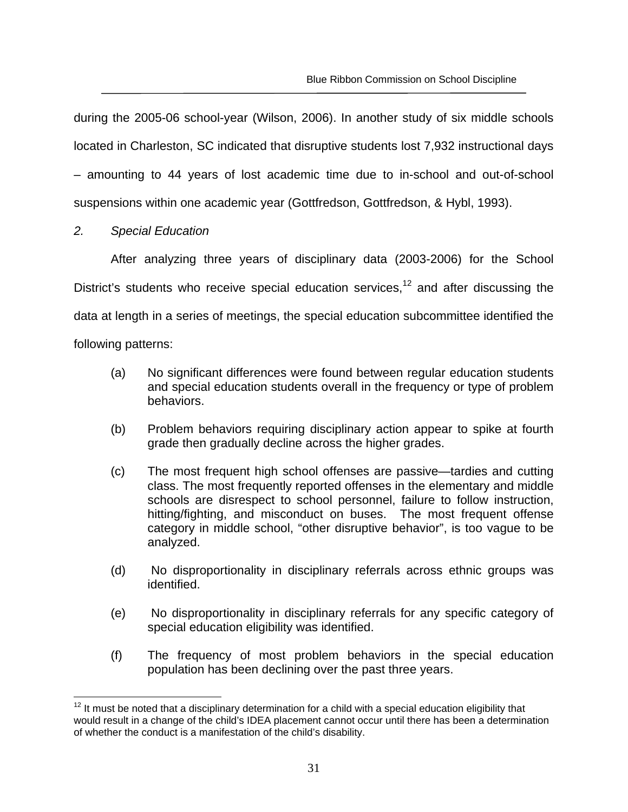during the 2005-06 school-year (Wilson, 2006). In another study of six middle schools located in Charleston, SC indicated that disruptive students lost 7,932 instructional days – amounting to 44 years of lost academic time due to in-school and out-of-school suspensions within one academic year (Gottfredson, Gottfredson, & Hybl, 1993).

#### *2. Special Education*

After analyzing three years of disciplinary data (2003-2006) for the School District's students who receive special education services,<sup>12</sup> and after discussing the data at length in a series of meetings, the special education subcommittee identified the

following patterns:

- (a) No significant differences were found between regular education students and special education students overall in the frequency or type of problem behaviors.
- (b) Problem behaviors requiring disciplinary action appear to spike at fourth grade then gradually decline across the higher grades.
- (c) The most frequent high school offenses are passive—tardies and cutting class. The most frequently reported offenses in the elementary and middle schools are disrespect to school personnel, failure to follow instruction, hitting/fighting, and misconduct on buses. The most frequent offense category in middle school, "other disruptive behavior", is too vague to be analyzed.
- (d) No disproportionality in disciplinary referrals across ethnic groups was identified.
- (e) No disproportionality in disciplinary referrals for any specific category of special education eligibility was identified.
- (f) The frequency of most problem behaviors in the special education population has been declining over the past three years.

<sup>1</sup>  $12$  It must be noted that a disciplinary determination for a child with a special education eligibility that would result in a change of the child's IDEA placement cannot occur until there has been a determination of whether the conduct is a manifestation of the child's disability.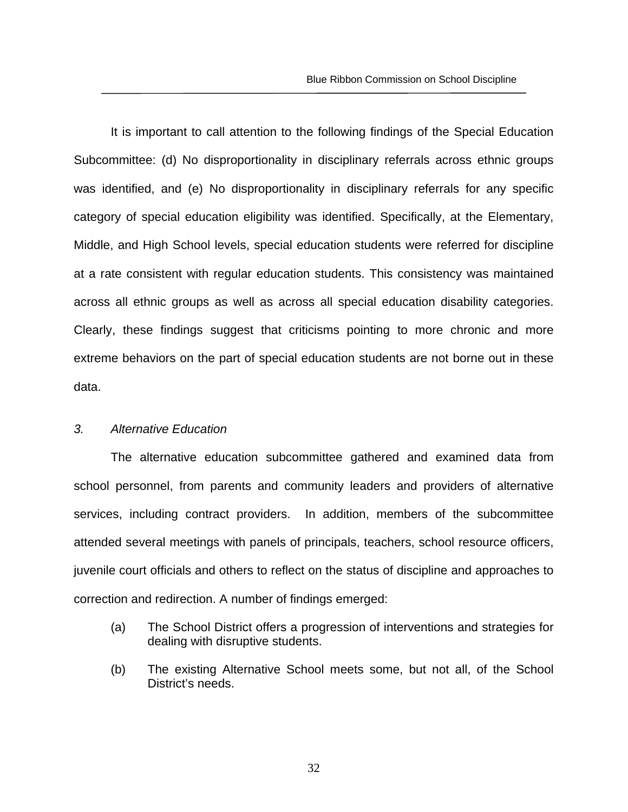It is important to call attention to the following findings of the Special Education Subcommittee: (d) No disproportionality in disciplinary referrals across ethnic groups was identified, and (e) No disproportionality in disciplinary referrals for any specific category of special education eligibility was identified. Specifically, at the Elementary, Middle, and High School levels, special education students were referred for discipline at a rate consistent with regular education students. This consistency was maintained across all ethnic groups as well as across all special education disability categories. Clearly, these findings suggest that criticisms pointing to more chronic and more extreme behaviors on the part of special education students are not borne out in these data.

#### *3. Alternative Education*

The alternative education subcommittee gathered and examined data from school personnel, from parents and community leaders and providers of alternative services, including contract providers. In addition, members of the subcommittee attended several meetings with panels of principals, teachers, school resource officers, juvenile court officials and others to reflect on the status of discipline and approaches to correction and redirection. A number of findings emerged:

- (a) The School District offers a progression of interventions and strategies for dealing with disruptive students.
- (b) The existing Alternative School meets some, but not all, of the School District's needs.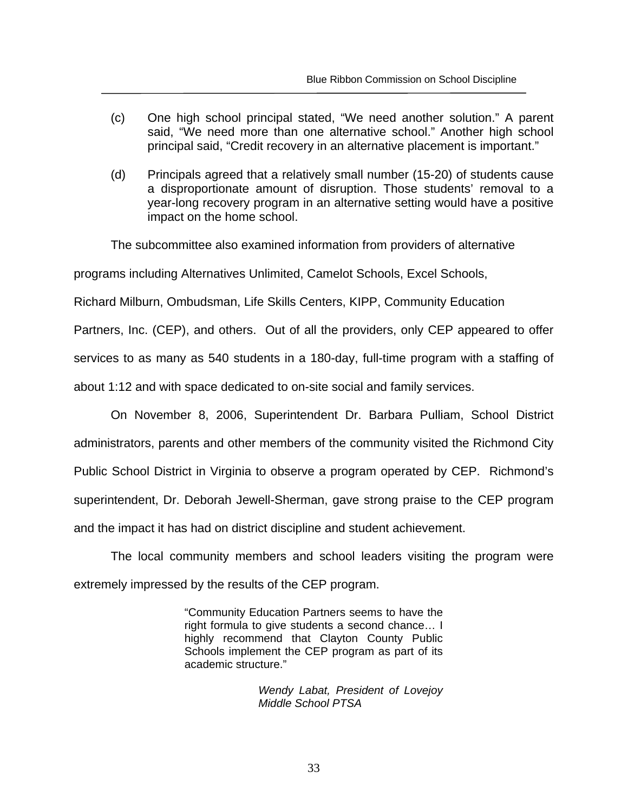- (c) One high school principal stated, "We need another solution." A parent said, "We need more than one alternative school." Another high school principal said, "Credit recovery in an alternative placement is important."
- (d) Principals agreed that a relatively small number (15-20) of students cause a disproportionate amount of disruption. Those students' removal to a year-long recovery program in an alternative setting would have a positive impact on the home school.

The subcommittee also examined information from providers of alternative

programs including Alternatives Unlimited, Camelot Schools, Excel Schools,

Richard Milburn, Ombudsman, Life Skills Centers, KIPP, Community Education

Partners, Inc. (CEP), and others. Out of all the providers, only CEP appeared to offer

services to as many as 540 students in a 180-day, full-time program with a staffing of

about 1:12 and with space dedicated to on-site social and family services.

On November 8, 2006, Superintendent Dr. Barbara Pulliam, School District administrators, parents and other members of the community visited the Richmond City Public School District in Virginia to observe a program operated by CEP. Richmond's superintendent, Dr. Deborah Jewell-Sherman, gave strong praise to the CEP program and the impact it has had on district discipline and student achievement.

The local community members and school leaders visiting the program were extremely impressed by the results of the CEP program.

> "Community Education Partners seems to have the right formula to give students a second chance… I highly recommend that Clayton County Public Schools implement the CEP program as part of its academic structure."

> > *Wendy Labat, President of Lovejoy Middle School PTSA*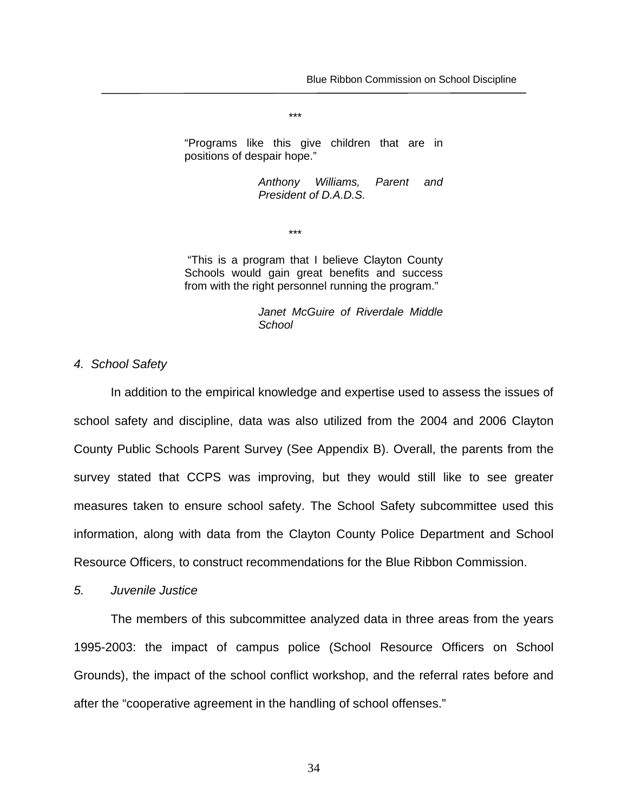"Programs like this give children that are in positions of despair hope."

\*\*\*

*Anthony Williams, Parent and President of D.A.D.S.* 

\*\*\*

 "This is a program that I believe Clayton County Schools would gain great benefits and success from with the right personnel running the program."

> *Janet McGuire of Riverdale Middle School*

*4. School Safety* 

In addition to the empirical knowledge and expertise used to assess the issues of school safety and discipline, data was also utilized from the 2004 and 2006 Clayton County Public Schools Parent Survey (See Appendix B). Overall, the parents from the survey stated that CCPS was improving, but they would still like to see greater measures taken to ensure school safety. The School Safety subcommittee used this information, along with data from the Clayton County Police Department and School Resource Officers, to construct recommendations for the Blue Ribbon Commission.

*5. Juvenile Justice* 

 The members of this subcommittee analyzed data in three areas from the years 1995-2003: the impact of campus police (School Resource Officers on School Grounds), the impact of the school conflict workshop, and the referral rates before and after the "cooperative agreement in the handling of school offenses."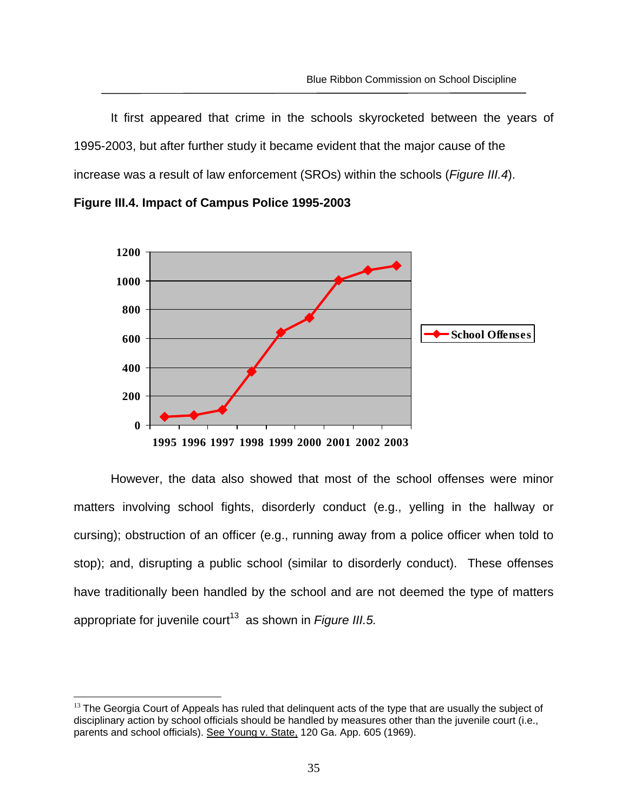It first appeared that crime in the schools skyrocketed between the years of 1995-2003, but after further study it became evident that the major cause of the increase was a result of law enforcement (SROs) within the schools (*Figure III.4*).





However, the data also showed that most of the school offenses were minor matters involving school fights, disorderly conduct (e.g., yelling in the hallway or cursing); obstruction of an officer (e.g., running away from a police officer when told to stop); and, disrupting a public school (similar to disorderly conduct). These offenses have traditionally been handled by the school and are not deemed the type of matters appropriate for juvenile court<sup>13</sup> as shown in *Figure III.5.* 

 $\overline{a}$  $<sup>13</sup>$  The Georgia Court of Appeals has ruled that delinguent acts of the type that are usually the subject of</sup> disciplinary action by school officials should be handled by measures other than the juvenile court (i.e., parents and school officials). See Young v. State, 120 Ga. App. 605 (1969).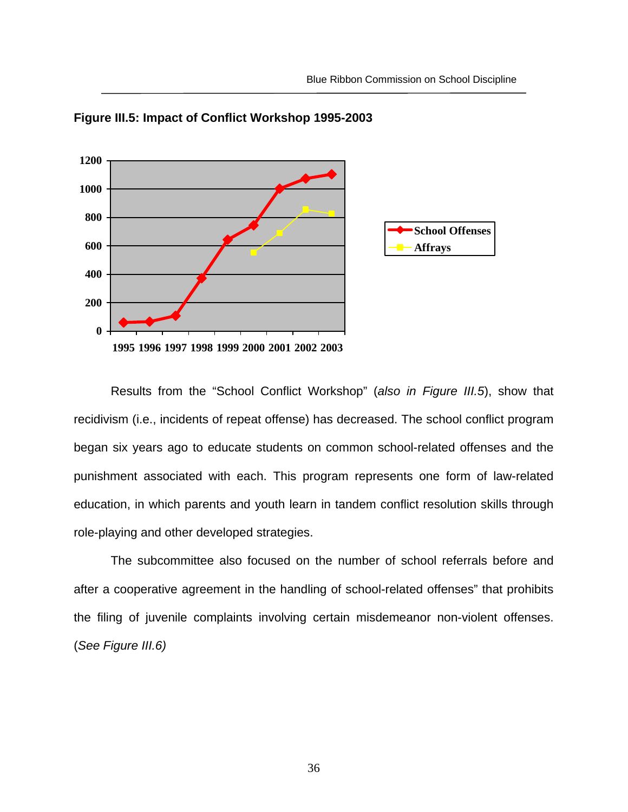



 Results from the "School Conflict Workshop" (*also in Figure III.5*), show that recidivism (i.e., incidents of repeat offense) has decreased. The school conflict program began six years ago to educate students on common school-related offenses and the punishment associated with each. This program represents one form of law-related education, in which parents and youth learn in tandem conflict resolution skills through role-playing and other developed strategies.

The subcommittee also focused on the number of school referrals before and after a cooperative agreement in the handling of school-related offenses" that prohibits the filing of juvenile complaints involving certain misdemeanor non-violent offenses. (*See Figure III.6)*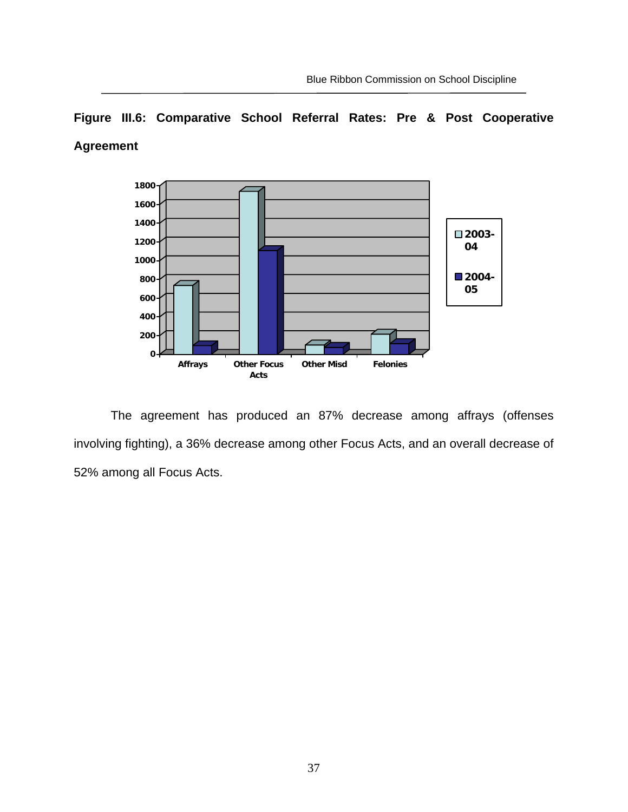# **Figure III.6: Comparative School Referral Rates: Pre & Post Cooperative Agreement**



 The agreement has produced an 87% decrease among affrays (offenses involving fighting), a 36% decrease among other Focus Acts, and an overall decrease of 52% among all Focus Acts.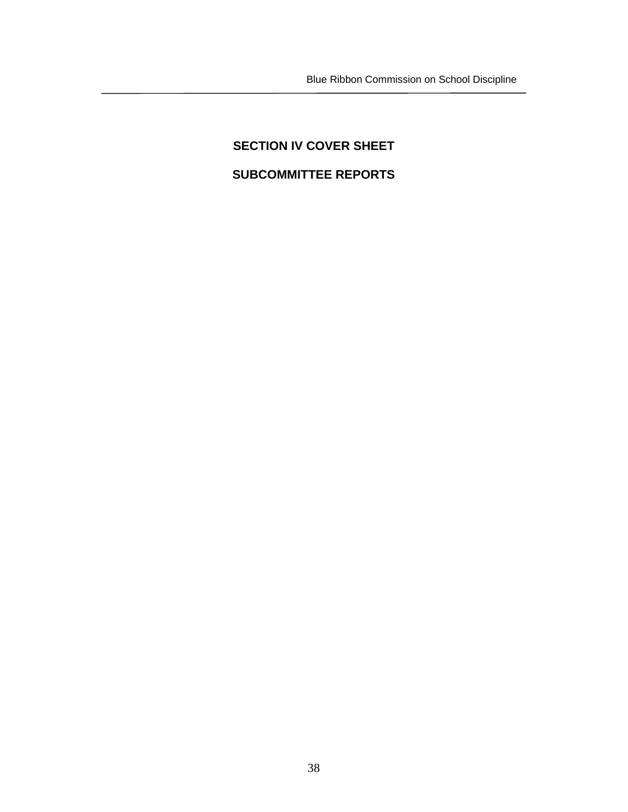# **SECTION IV COVER SHEET SUBCOMMITTEE REPORTS**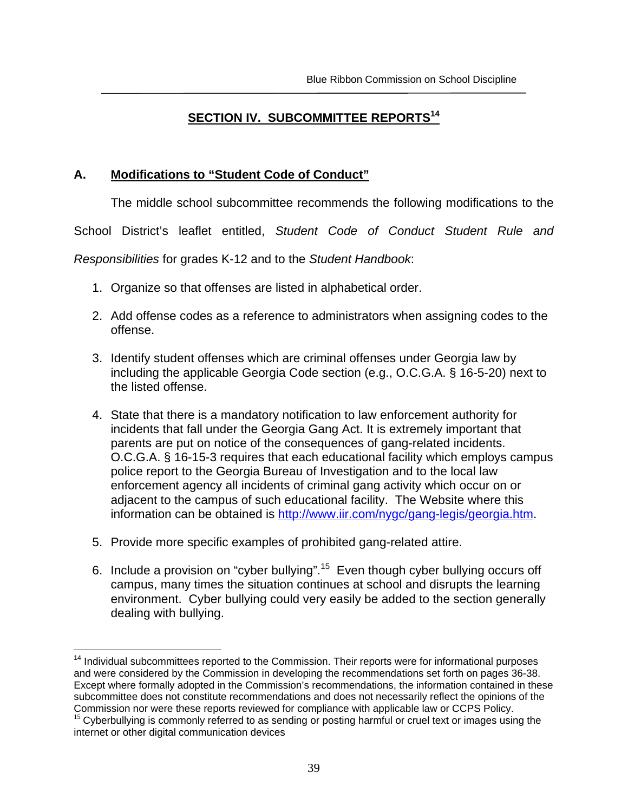# **SECTION IV. SUBCOMMITTEE REPORTS<sup>14</sup>**

## **A. Modifications to "Student Code of Conduct"**

The middle school subcommittee recommends the following modifications to the

School District's leaflet entitled, *Student Code of Conduct Student Rule and* 

*Responsibilities* for grades K-12 and to the *Student Handbook*:

- 1. Organize so that offenses are listed in alphabetical order.
- 2. Add offense codes as a reference to administrators when assigning codes to the offense.
- 3. Identify student offenses which are criminal offenses under Georgia law by including the applicable Georgia Code section (e.g., O.C.G.A. § 16-5-20) next to the listed offense.
- 4. State that there is a mandatory notification to law enforcement authority for incidents that fall under the Georgia Gang Act. It is extremely important that parents are put on notice of the consequences of gang-related incidents. O.C.G.A. § 16-15-3 requires that each educational facility which employs campus police report to the Georgia Bureau of Investigation and to the local law enforcement agency all incidents of criminal gang activity which occur on or adjacent to the campus of such educational facility. The Website where this information can be obtained is http://www.iir.com/nygc/gang-legis/georgia.htm.
- 5. Provide more specific examples of prohibited gang-related attire.
- 6. Include a provision on "cyber bullying".15 Even though cyber bullying occurs off campus, many times the situation continues at school and disrupts the learning environment. Cyber bullying could very easily be added to the section generally dealing with bullying.

 $\overline{a}$ <sup>14</sup> Individual subcommittees reported to the Commission. Their reports were for informational purposes and were considered by the Commission in developing the recommendations set forth on pages 36-38. Except where formally adopted in the Commission's recommendations, the information contained in these subcommittee does not constitute recommendations and does not necessarily reflect the opinions of the Commission nor were these reports reviewed for compliance with applicable law or CCPS Policy.

 $15$  Cyberbullying is commonly referred to as sending or posting harmful or cruel text or images using the internet or other digital communication devices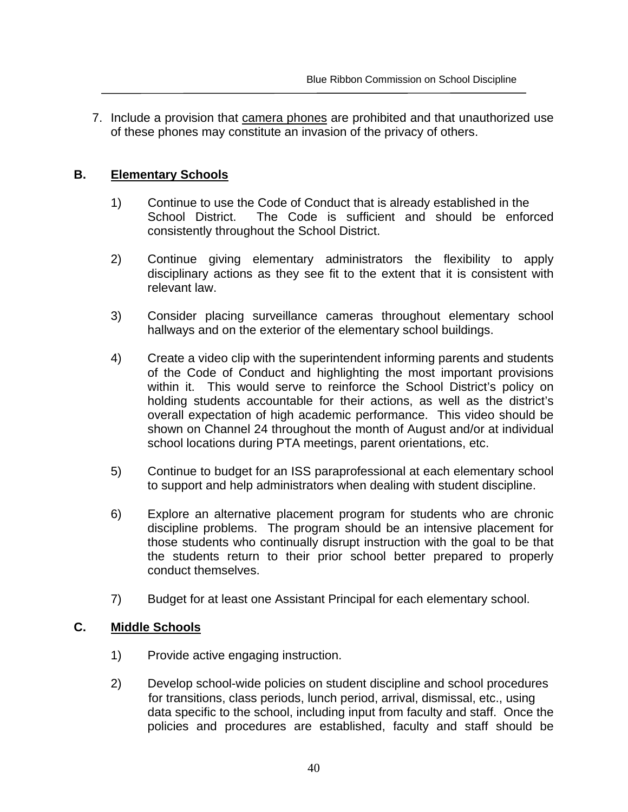7. Include a provision that camera phones are prohibited and that unauthorized use of these phones may constitute an invasion of the privacy of others.

## **B. Elementary Schools**

- 1) Continue to use the Code of Conduct that is already established in the School District. The Code is sufficient and should be enforced consistently throughout the School District.
- 2) Continue giving elementary administrators the flexibility to apply disciplinary actions as they see fit to the extent that it is consistent with relevant law.
- 3) Consider placing surveillance cameras throughout elementary school hallways and on the exterior of the elementary school buildings.
- 4) Create a video clip with the superintendent informing parents and students of the Code of Conduct and highlighting the most important provisions within it. This would serve to reinforce the School District's policy on holding students accountable for their actions, as well as the district's overall expectation of high academic performance. This video should be shown on Channel 24 throughout the month of August and/or at individual school locations during PTA meetings, parent orientations, etc.
- 5) Continue to budget for an ISS paraprofessional at each elementary school to support and help administrators when dealing with student discipline.
- 6) Explore an alternative placement program for students who are chronic discipline problems. The program should be an intensive placement for those students who continually disrupt instruction with the goal to be that the students return to their prior school better prepared to properly conduct themselves.
- 7) Budget for at least one Assistant Principal for each elementary school.

## **C. Middle Schools**

- 1) Provide active engaging instruction.
- 2) Develop school-wide policies on student discipline and school procedures for transitions, class periods, lunch period, arrival, dismissal, etc., using data specific to the school, including input from faculty and staff. Once the policies and procedures are established, faculty and staff should be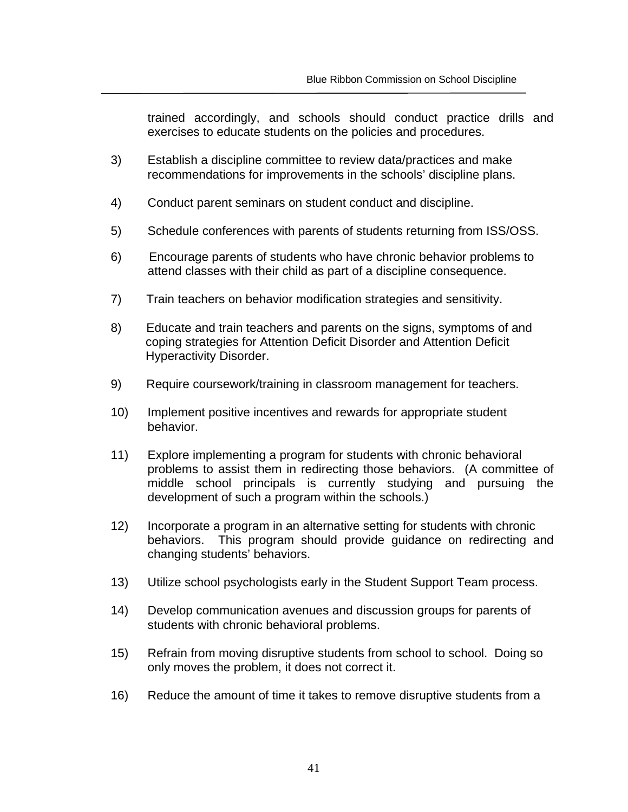trained accordingly, and schools should conduct practice drills and exercises to educate students on the policies and procedures.

- 3) Establish a discipline committee to review data/practices and make recommendations for improvements in the schools' discipline plans.
- 4) Conduct parent seminars on student conduct and discipline.
- 5) Schedule conferences with parents of students returning from ISS/OSS.
- 6) Encourage parents of students who have chronic behavior problems to attend classes with their child as part of a discipline consequence.
- 7) Train teachers on behavior modification strategies and sensitivity.
- 8) Educate and train teachers and parents on the signs, symptoms of and coping strategies for Attention Deficit Disorder and Attention Deficit Hyperactivity Disorder.
- 9) Require coursework/training in classroom management for teachers.
- 10) Implement positive incentives and rewards for appropriate student behavior.
- 11) Explore implementing a program for students with chronic behavioral problems to assist them in redirecting those behaviors. (A committee of middle school principals is currently studying and pursuing the development of such a program within the schools.)
- 12) Incorporate a program in an alternative setting for students with chronic behaviors. This program should provide guidance on redirecting and changing students' behaviors.
- 13) Utilize school psychologists early in the Student Support Team process.
- 14) Develop communication avenues and discussion groups for parents of students with chronic behavioral problems.
- 15) Refrain from moving disruptive students from school to school. Doing so only moves the problem, it does not correct it.
- 16) Reduce the amount of time it takes to remove disruptive students from a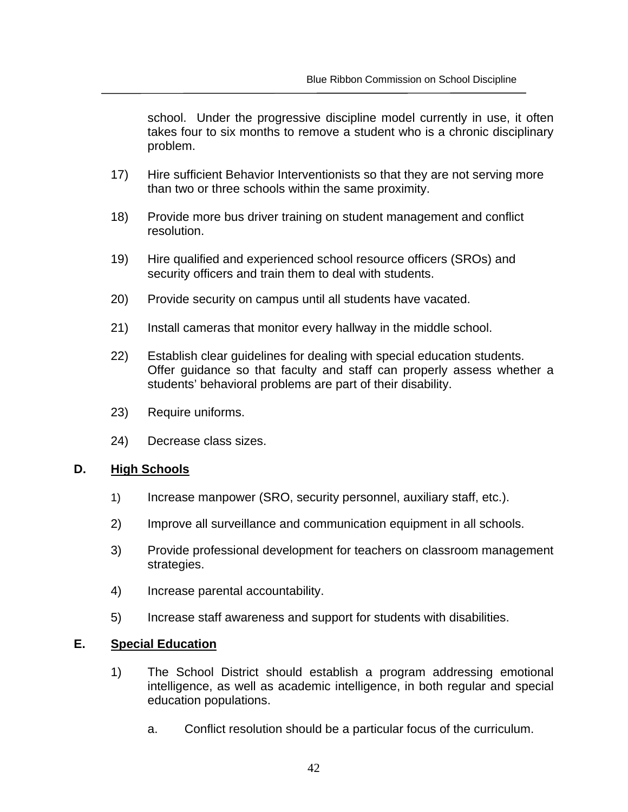school. Under the progressive discipline model currently in use, it often takes four to six months to remove a student who is a chronic disciplinary problem.

- 17) Hire sufficient Behavior Interventionists so that they are not serving more than two or three schools within the same proximity.
- 18) Provide more bus driver training on student management and conflict resolution.
- 19) Hire qualified and experienced school resource officers (SROs) and security officers and train them to deal with students.
- 20) Provide security on campus until all students have vacated.
- 21) Install cameras that monitor every hallway in the middle school.
- 22) Establish clear guidelines for dealing with special education students. Offer guidance so that faculty and staff can properly assess whether a students' behavioral problems are part of their disability.
- 23) Require uniforms.
- 24) Decrease class sizes.

## **D. High Schools**

- 1) Increase manpower (SRO, security personnel, auxiliary staff, etc.).
- 2) Improve all surveillance and communication equipment in all schools.
- 3) Provide professional development for teachers on classroom management strategies.
- 4) Increase parental accountability.
- 5) Increase staff awareness and support for students with disabilities.

## **E. Special Education**

- 1) The School District should establish a program addressing emotional intelligence, as well as academic intelligence, in both regular and special education populations.
	- a. Conflict resolution should be a particular focus of the curriculum.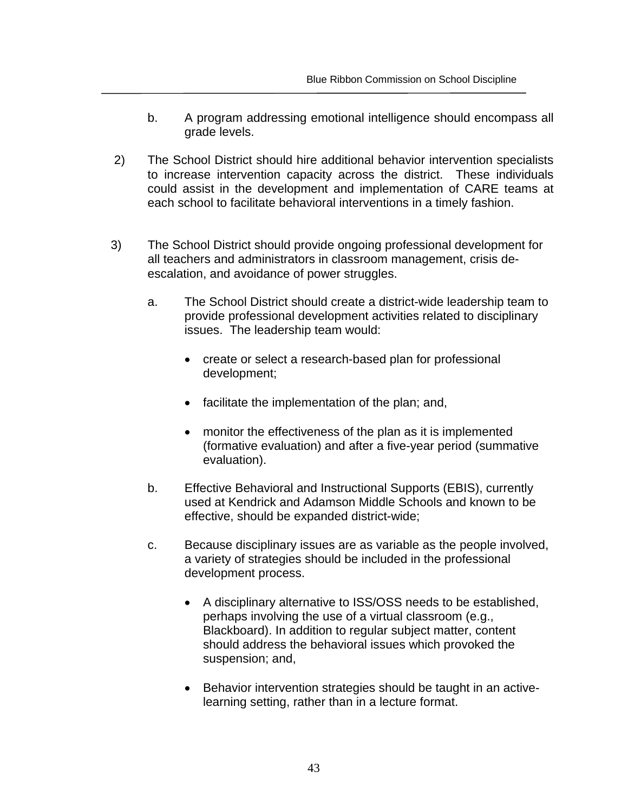- b. A program addressing emotional intelligence should encompass all grade levels.
- 2) The School District should hire additional behavior intervention specialists to increase intervention capacity across the district. These individuals could assist in the development and implementation of CARE teams at each school to facilitate behavioral interventions in a timely fashion.
- 3) The School District should provide ongoing professional development for all teachers and administrators in classroom management, crisis deescalation, and avoidance of power struggles.
	- a. The School District should create a district-wide leadership team to provide professional development activities related to disciplinary issues. The leadership team would:
		- create or select a research-based plan for professional development;
		- facilitate the implementation of the plan; and,
		- monitor the effectiveness of the plan as it is implemented (formative evaluation) and after a five-year period (summative evaluation).
	- b. Effective Behavioral and Instructional Supports (EBIS), currently used at Kendrick and Adamson Middle Schools and known to be effective, should be expanded district-wide;
	- c. Because disciplinary issues are as variable as the people involved, a variety of strategies should be included in the professional development process.
		- A disciplinary alternative to ISS/OSS needs to be established, perhaps involving the use of a virtual classroom (e.g., Blackboard). In addition to regular subject matter, content should address the behavioral issues which provoked the suspension; and,
		- Behavior intervention strategies should be taught in an activelearning setting, rather than in a lecture format.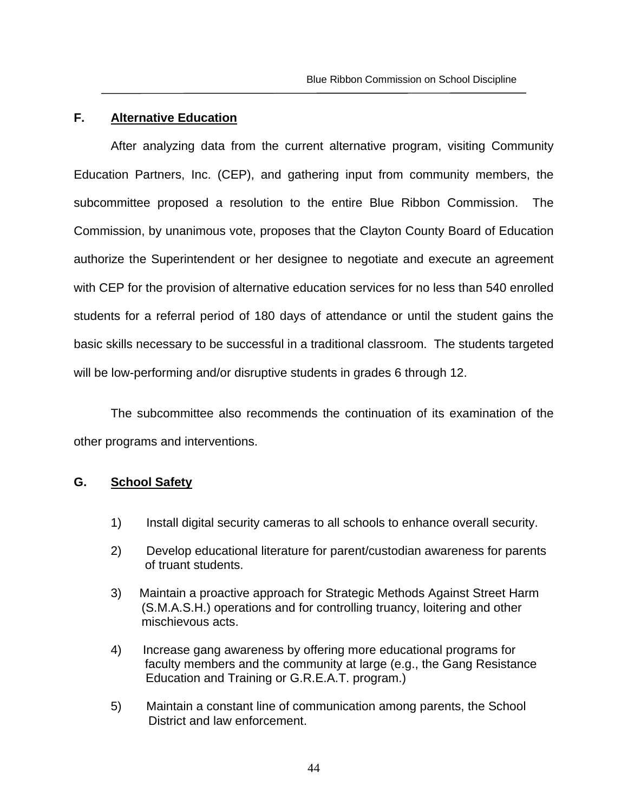#### **F. Alternative Education**

After analyzing data from the current alternative program, visiting Community Education Partners, Inc. (CEP), and gathering input from community members, the subcommittee proposed a resolution to the entire Blue Ribbon Commission. The Commission, by unanimous vote, proposes that the Clayton County Board of Education authorize the Superintendent or her designee to negotiate and execute an agreement with CEP for the provision of alternative education services for no less than 540 enrolled students for a referral period of 180 days of attendance or until the student gains the basic skills necessary to be successful in a traditional classroom. The students targeted will be low-performing and/or disruptive students in grades 6 through 12.

The subcommittee also recommends the continuation of its examination of the other programs and interventions.

## **G. School Safety**

- 1) Install digital security cameras to all schools to enhance overall security.
- 2) Develop educational literature for parent/custodian awareness for parents of truant students.
- 3) Maintain a proactive approach for Strategic Methods Against Street Harm (S.M.A.S.H.) operations and for controlling truancy, loitering and other mischievous acts.
- 4) Increase gang awareness by offering more educational programs for faculty members and the community at large (e.g., the Gang Resistance Education and Training or G.R.E.A.T. program.)
- 5) Maintain a constant line of communication among parents, the School District and law enforcement.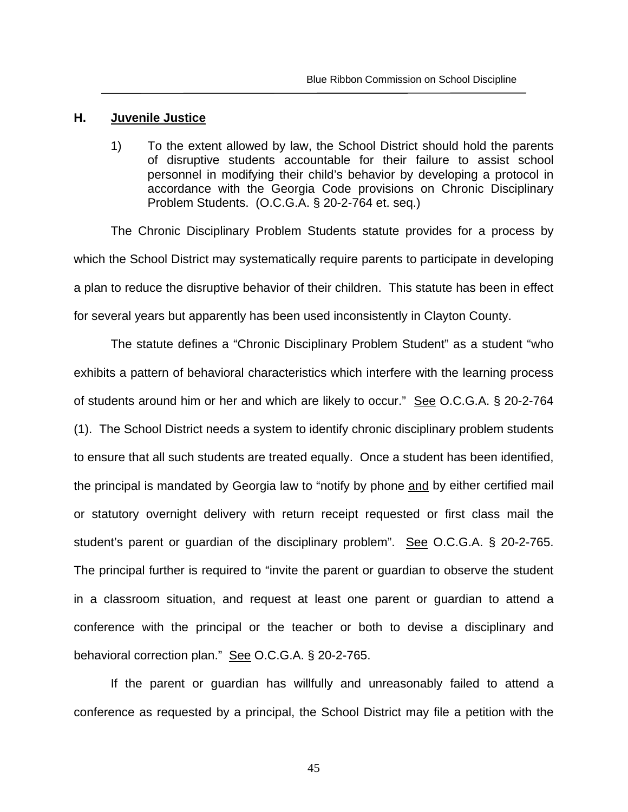#### **H. Juvenile Justice**

1) To the extent allowed by law, the School District should hold the parents of disruptive students accountable for their failure to assist school personnel in modifying their child's behavior by developing a protocol in accordance with the Georgia Code provisions on Chronic Disciplinary Problem Students. (O.C.G.A. § 20-2-764 et. seq.)

 The Chronic Disciplinary Problem Students statute provides for a process by which the School District may systematically require parents to participate in developing a plan to reduce the disruptive behavior of their children. This statute has been in effect for several years but apparently has been used inconsistently in Clayton County.

The statute defines a "Chronic Disciplinary Problem Student" as a student "who exhibits a pattern of behavioral characteristics which interfere with the learning process of students around him or her and which are likely to occur." See O.C.G.A. § 20-2-764 (1). The School District needs a system to identify chronic disciplinary problem students to ensure that all such students are treated equally. Once a student has been identified, the principal is mandated by Georgia law to "notify by phone and by either certified mail or statutory overnight delivery with return receipt requested or first class mail the student's parent or guardian of the disciplinary problem". See O.C.G.A. § 20-2-765. The principal further is required to "invite the parent or guardian to observe the student in a classroom situation, and request at least one parent or guardian to attend a conference with the principal or the teacher or both to devise a disciplinary and behavioral correction plan." See O.C.G.A. § 20-2-765.

If the parent or guardian has willfully and unreasonably failed to attend a conference as requested by a principal, the School District may file a petition with the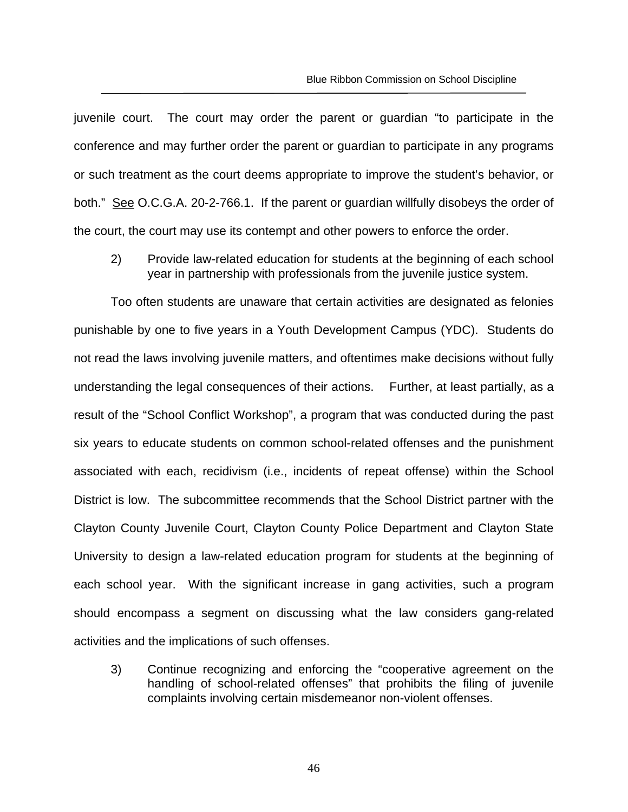juvenile court. The court may order the parent or guardian "to participate in the conference and may further order the parent or guardian to participate in any programs or such treatment as the court deems appropriate to improve the student's behavior, or both." See O.C.G.A. 20-2-766.1. If the parent or guardian willfully disobeys the order of the court, the court may use its contempt and other powers to enforce the order.

2) Provide law-related education for students at the beginning of each school year in partnership with professionals from the juvenile justice system.

Too often students are unaware that certain activities are designated as felonies punishable by one to five years in a Youth Development Campus (YDC). Students do not read the laws involving juvenile matters, and oftentimes make decisions without fully understanding the legal consequences of their actions. Further, at least partially, as a result of the "School Conflict Workshop", a program that was conducted during the past six years to educate students on common school-related offenses and the punishment associated with each, recidivism (i.e., incidents of repeat offense) within the School District is low. The subcommittee recommends that the School District partner with the Clayton County Juvenile Court, Clayton County Police Department and Clayton State University to design a law-related education program for students at the beginning of each school year. With the significant increase in gang activities, such a program should encompass a segment on discussing what the law considers gang-related activities and the implications of such offenses.

3) Continue recognizing and enforcing the "cooperative agreement on the handling of school-related offenses" that prohibits the filing of juvenile complaints involving certain misdemeanor non-violent offenses.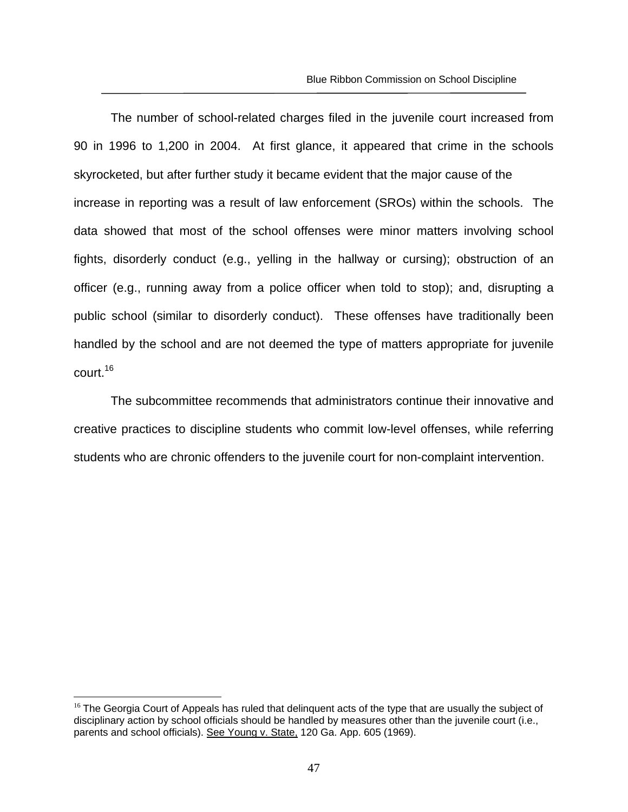The number of school-related charges filed in the juvenile court increased from 90 in 1996 to 1,200 in 2004. At first glance, it appeared that crime in the schools skyrocketed, but after further study it became evident that the major cause of the increase in reporting was a result of law enforcement (SROs) within the schools. The data showed that most of the school offenses were minor matters involving school fights, disorderly conduct (e.g., yelling in the hallway or cursing); obstruction of an officer (e.g., running away from a police officer when told to stop); and, disrupting a public school (similar to disorderly conduct). These offenses have traditionally been handled by the school and are not deemed the type of matters appropriate for juvenile court.16

The subcommittee recommends that administrators continue their innovative and creative practices to discipline students who commit low-level offenses, while referring students who are chronic offenders to the juvenile court for non-complaint intervention.

 $\overline{a}$ 

 $16$  The Georgia Court of Appeals has ruled that delinguent acts of the type that are usually the subject of disciplinary action by school officials should be handled by measures other than the juvenile court (i.e., parents and school officials). See Young v. State, 120 Ga. App. 605 (1969).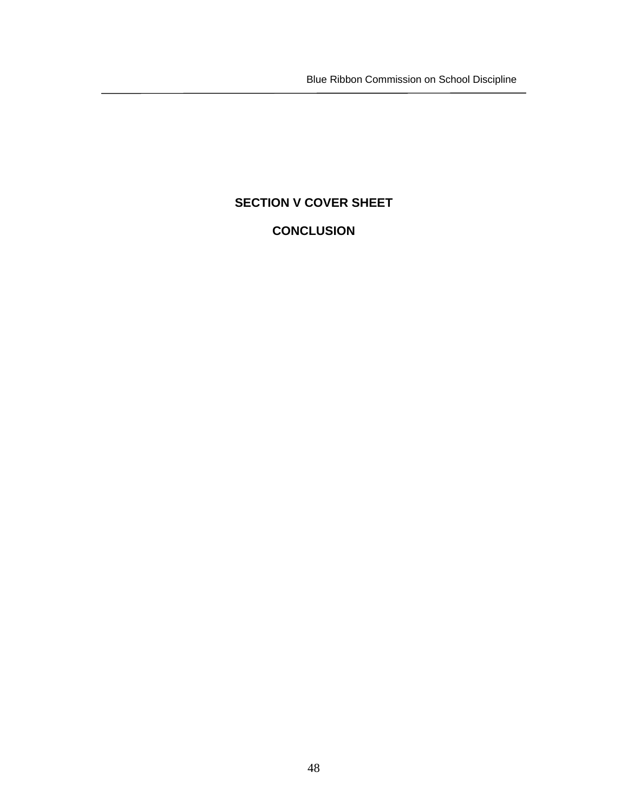Blue Ribbon Commission on School Discipline

# **SECTION V COVER SHEET**

# **CONCLUSION**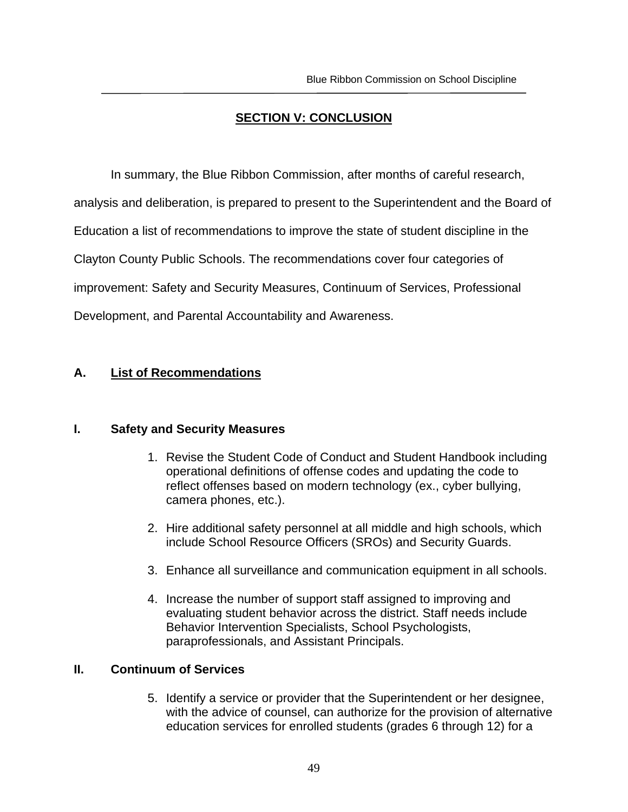# **SECTION V: CONCLUSION**

In summary, the Blue Ribbon Commission, after months of careful research,

analysis and deliberation, is prepared to present to the Superintendent and the Board of

Education a list of recommendations to improve the state of student discipline in the

Clayton County Public Schools. The recommendations cover four categories of

improvement: Safety and Security Measures, Continuum of Services, Professional

Development, and Parental Accountability and Awareness.

# **A. List of Recommendations**

## **I. Safety and Security Measures**

- 1. Revise the Student Code of Conduct and Student Handbook including operational definitions of offense codes and updating the code to reflect offenses based on modern technology (ex., cyber bullying, camera phones, etc.).
- 2. Hire additional safety personnel at all middle and high schools, which include School Resource Officers (SROs) and Security Guards.
- 3. Enhance all surveillance and communication equipment in all schools.
- 4. Increase the number of support staff assigned to improving and evaluating student behavior across the district. Staff needs include Behavior Intervention Specialists, School Psychologists, paraprofessionals, and Assistant Principals.

## **II. Continuum of Services**

5. Identify a service or provider that the Superintendent or her designee, with the advice of counsel, can authorize for the provision of alternative education services for enrolled students (grades 6 through 12) for a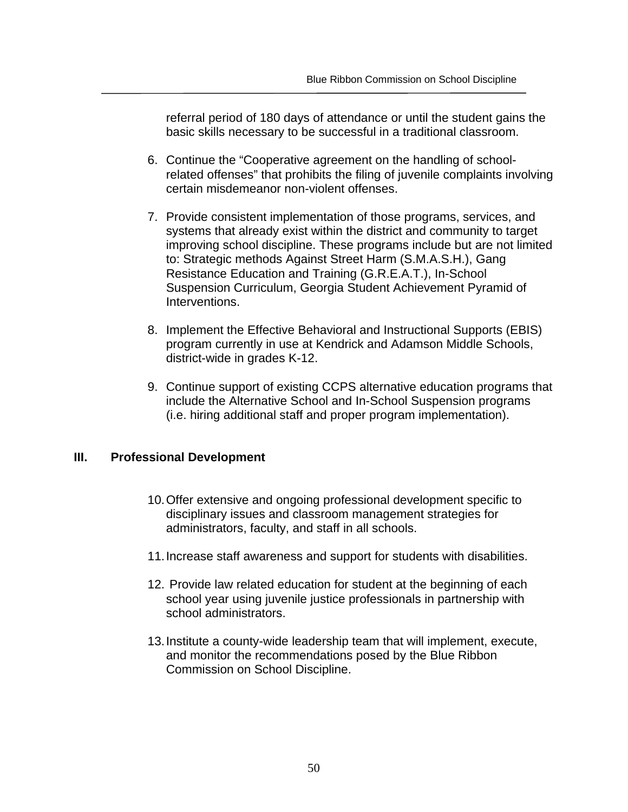referral period of 180 days of attendance or until the student gains the basic skills necessary to be successful in a traditional classroom.

- 6. Continue the "Cooperative agreement on the handling of schoolrelated offenses" that prohibits the filing of juvenile complaints involving certain misdemeanor non-violent offenses.
- 7. Provide consistent implementation of those programs, services, and systems that already exist within the district and community to target improving school discipline. These programs include but are not limited to: Strategic methods Against Street Harm (S.M.A.S.H.), Gang Resistance Education and Training (G.R.E.A.T.), In-School Suspension Curriculum, Georgia Student Achievement Pyramid of Interventions.
- 8. Implement the Effective Behavioral and Instructional Supports (EBIS) program currently in use at Kendrick and Adamson Middle Schools, district-wide in grades K-12.
- 9. Continue support of existing CCPS alternative education programs that include the Alternative School and In-School Suspension programs (i.e. hiring additional staff and proper program implementation).

# **III. Professional Development**

- 10. Offer extensive and ongoing professional development specific to disciplinary issues and classroom management strategies for administrators, faculty, and staff in all schools.
- 11. Increase staff awareness and support for students with disabilities.
- 12. Provide law related education for student at the beginning of each school year using juvenile justice professionals in partnership with school administrators.
- 13. Institute a county-wide leadership team that will implement, execute, and monitor the recommendations posed by the Blue Ribbon Commission on School Discipline.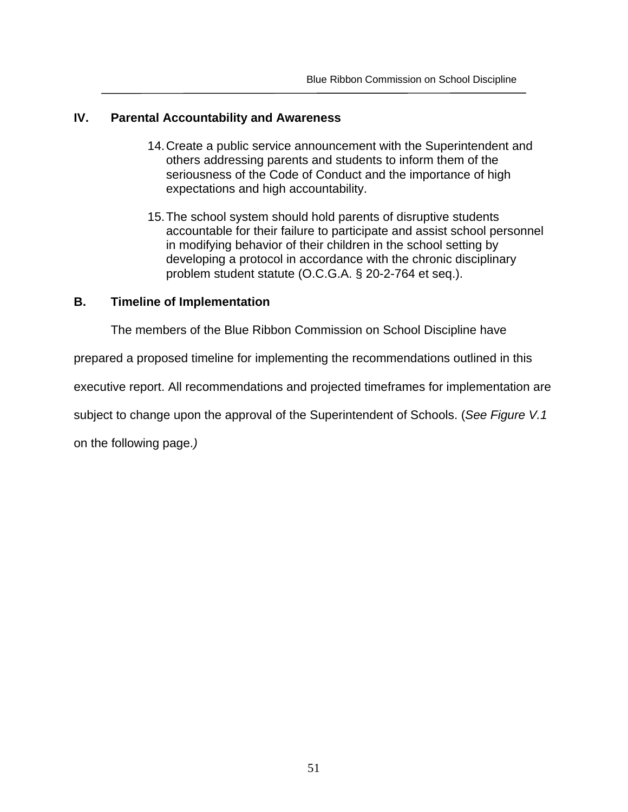## **IV. Parental Accountability and Awareness**

- 14. Create a public service announcement with the Superintendent and others addressing parents and students to inform them of the seriousness of the Code of Conduct and the importance of high expectations and high accountability.
- 15. The school system should hold parents of disruptive students accountable for their failure to participate and assist school personnel in modifying behavior of their children in the school setting by developing a protocol in accordance with the chronic disciplinary problem student statute (O.C.G.A. § 20-2-764 et seq.).

# **B. Timeline of Implementation**

The members of the Blue Ribbon Commission on School Discipline have

prepared a proposed timeline for implementing the recommendations outlined in this

executive report. All recommendations and projected timeframes for implementation are

subject to change upon the approval of the Superintendent of Schools. (*See Figure V.1*

on the following page.*)*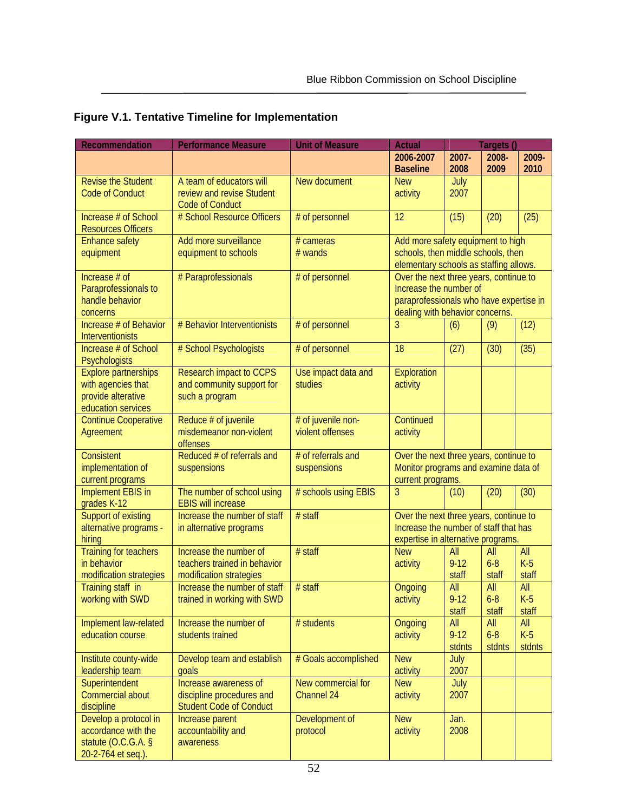| <b>Recommendation</b>                                                                         | <b>Performance Measure</b>                                                           | <b>Unit of Measure</b>                 | <b>Actual</b>                                                                                                                                  |                           | Targets ()               |                        |
|-----------------------------------------------------------------------------------------------|--------------------------------------------------------------------------------------|----------------------------------------|------------------------------------------------------------------------------------------------------------------------------------------------|---------------------------|--------------------------|------------------------|
|                                                                                               |                                                                                      |                                        | 2006-2007<br><b>Baseline</b>                                                                                                                   | 2007-<br>2008             | 2008-<br>2009            | 2009-<br>2010          |
| <b>Revise the Student</b><br><b>Code of Conduct</b>                                           | A team of educators will<br>review and revise Student<br><b>Code of Conduct</b>      | New document                           | <b>New</b><br>activity                                                                                                                         | July<br>2007              |                          |                        |
| Increase # of School<br><b>Resources Officers</b>                                             | # School Resource Officers                                                           | # of personnel                         | 12                                                                                                                                             | (15)                      | (20)                     | (25)                   |
| <b>Enhance safety</b><br>equipment                                                            | Add more surveillance<br>equipment to schools                                        | $# \text{ cameras}$<br># wands         | Add more safety equipment to high<br>schools, then middle schools, then<br>elementary schools as staffing allows.                              |                           |                          |                        |
| Increase # of<br>Paraprofessionals to<br>handle behavior<br>concerns                          | # Paraprofessionals                                                                  | # of personnel                         | Over the next three years, continue to<br>Increase the number of<br>paraprofessionals who have expertise in<br>dealing with behavior concerns. |                           |                          |                        |
| Increase # of Behavior<br>Interventionists                                                    | # Behavior Interventionists                                                          | # of personnel                         | 3                                                                                                                                              | (6)                       | (9)                      | (12)                   |
| Increase # of School<br>Psychologists                                                         | # School Psychologists                                                               | # of personnel                         | 18                                                                                                                                             | (27)                      | (30)                     | (35)                   |
| <b>Explore partnerships</b><br>with agencies that<br>provide alterative<br>education services | <b>Research impact to CCPS</b><br>and community support for<br>such a program        | Use impact data and<br>studies         | Exploration<br>activity                                                                                                                        |                           |                          |                        |
| <b>Continue Cooperative</b><br>Agreement                                                      | Reduce # of juvenile<br>misdemeanor non-violent<br>offenses                          | # of juvenile non-<br>violent offenses | Continued<br>activity                                                                                                                          |                           |                          |                        |
| <b>Consistent</b><br>implementation of<br>current programs                                    | Reduced # of referrals and<br>suspensions                                            | # of referrals and<br>suspensions      | Over the next three years, continue to<br>Monitor programs and examine data of<br>current programs.                                            |                           |                          |                        |
| <b>Implement EBIS in</b><br>grades K-12                                                       | The number of school using<br><b>EBIS will increase</b>                              | # schools using EBIS                   | 3                                                                                                                                              | (10)                      | (20)                     | (30)                   |
| <b>Support of existing</b><br>alternative programs -<br>hiring                                | Increase the number of staff<br>in alternative programs                              | $#$ staff                              | Over the next three years, continue to<br>Increase the number of staff that has<br>expertise in alternative programs.                          |                           |                          |                        |
| <b>Training for teachers</b><br>in behavior<br>modification strategies                        | Increase the number of<br>teachers trained in behavior<br>modification strategies    | $#$ staff                              | <b>New</b><br>activity                                                                                                                         | All<br>$9 - 12$<br>staff  | All<br>$6 - 8$<br>staff  | All<br>$K-5$<br>staff  |
| Training staff in<br>working with SWD                                                         | Increase the number of staff<br>trained in working with SWD                          | $#$ staff                              | Ongoing<br>activity                                                                                                                            | All<br>$9 - 12$<br>staff  | All<br>$6 - 8$<br>staff  | All<br>$K-5$<br>staff  |
| Implement law-related<br>education course                                                     | Increase the number of<br>students trained                                           | # students                             | Ongoing<br>activity                                                                                                                            | All<br>$9 - 12$<br>stdnts | All<br>$6 - 8$<br>stdnts | All<br>$K-5$<br>stdnts |
| Institute county-wide<br>leadership team                                                      | Develop team and establish<br>qoals                                                  | # Goals accomplished                   | <b>New</b><br>activity                                                                                                                         | July<br>2007              |                          |                        |
| Superintendent<br>Commercial about<br>discipline                                              | Increase awareness of<br>discipline procedures and<br><b>Student Code of Conduct</b> | New commercial for<br>Channel 24       | <b>New</b><br>activity                                                                                                                         | July<br>2007              |                          |                        |
| Develop a protocol in<br>accordance with the<br>statute $(0.C.G.A. §$<br>20-2-764 et seq.).   | Increase parent<br>accountability and<br>awareness                                   | Development of<br>protocol             | <b>New</b><br>activity                                                                                                                         | Jan.<br>2008              |                          |                        |

# **Figure V.1. Tentative Timeline for Implementation**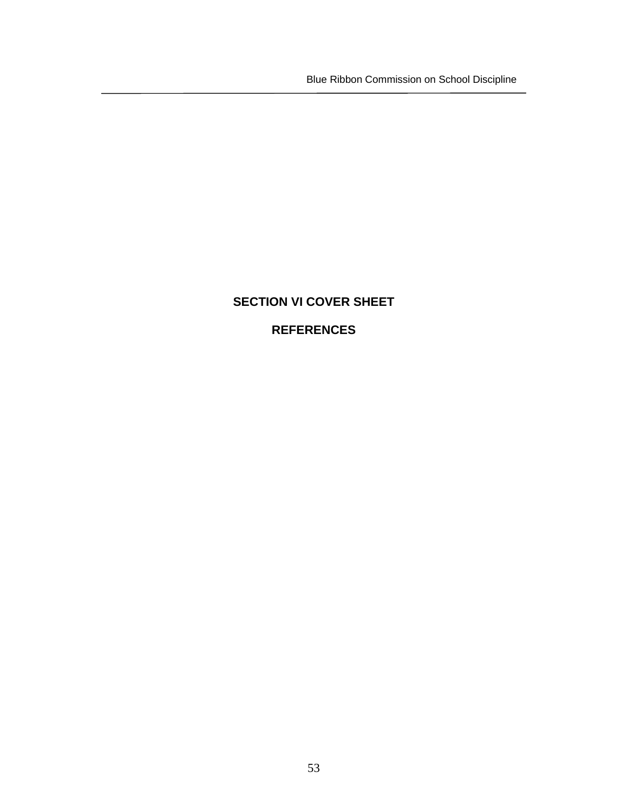Blue Ribbon Commission on School Discipline

# **SECTION VI COVER SHEET**

# **REFERENCES**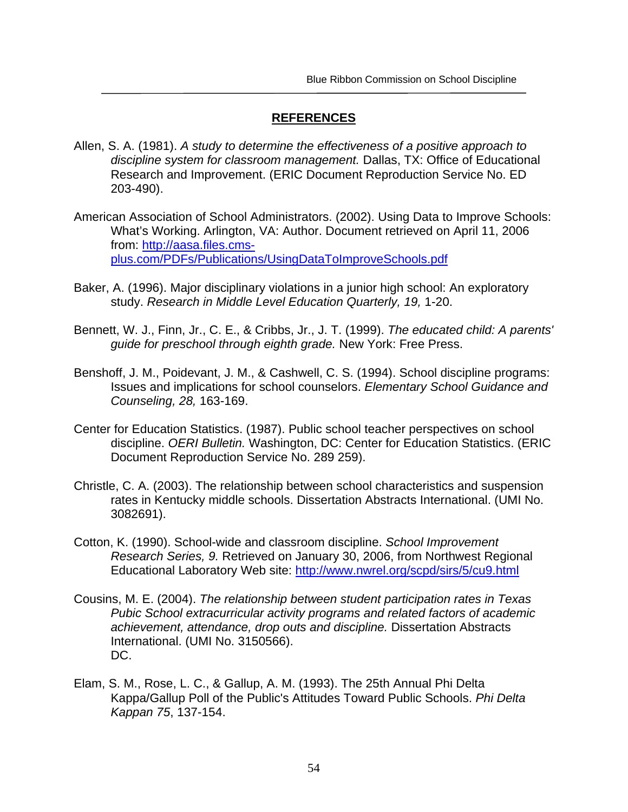## **REFERENCES**

- Allen, S. A. (1981). *A study to determine the effectiveness of a positive approach to discipline system for classroom management.* Dallas, TX: Office of Educational Research and Improvement. (ERIC Document Reproduction Service No. ED 203-490).
- American Association of School Administrators. (2002). Using Data to Improve Schools: What's Working. Arlington, VA: Author. Document retrieved on April 11, 2006 from: http://aasa.files.cmsplus.com/PDFs/Publications/UsingDataToImproveSchools.pdf
- Baker, A. (1996). Major disciplinary violations in a junior high school: An exploratory study. *Research in Middle Level Education Quarterly, 19,* 1-20.
- Bennett, W. J., Finn, Jr., C. E., & Cribbs, Jr., J. T. (1999). *The educated child: A parents' guide for preschool through eighth grade.* New York: Free Press.
- Benshoff, J. M., Poidevant, J. M., & Cashwell, C. S. (1994). School discipline programs: Issues and implications for school counselors. *Elementary School Guidance and Counseling, 28,* 163-169.
- Center for Education Statistics. (1987). Public school teacher perspectives on school discipline. *OERI Bulletin.* Washington, DC: Center for Education Statistics. (ERIC Document Reproduction Service No. 289 259).
- Christle, C. A. (2003). The relationship between school characteristics and suspension rates in Kentucky middle schools. Dissertation Abstracts International. (UMI No. 3082691).
- Cotton, K. (1990). School-wide and classroom discipline. *School Improvement Research Series, 9.* Retrieved on January 30, 2006, from Northwest Regional Educational Laboratory Web site: http://www.nwrel.org/scpd/sirs/5/cu9.html
- Cousins, M. E. (2004). *The relationship between student participation rates in Texas Pubic School extracurricular activity programs and related factors of academic achievement, attendance, drop outs and discipline.* Dissertation Abstracts International. (UMI No. 3150566). DC.
- Elam, S. M., Rose, L. C., & Gallup, A. M. (1993). The 25th Annual Phi Delta Kappa/Gallup Poll of the Public's Attitudes Toward Public Schools. *Phi Delta Kappan 75*, 137-154.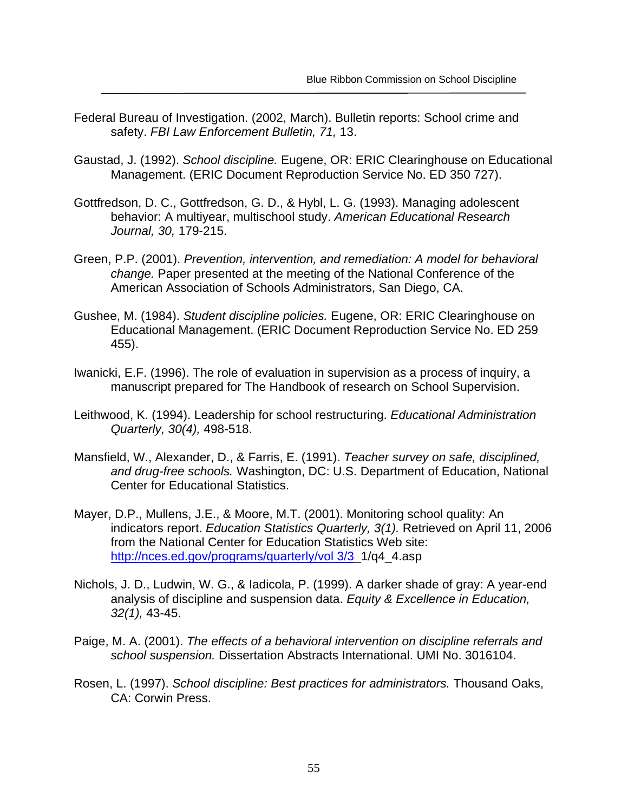- Federal Bureau of Investigation. (2002, March). Bulletin reports: School crime and safety. *FBI Law Enforcement Bulletin, 71,* 13.
- Gaustad, J. (1992). *School discipline.* Eugene, OR: ERIC Clearinghouse on Educational Management. (ERIC Document Reproduction Service No. ED 350 727).
- Gottfredson, D. C., Gottfredson, G. D., & Hybl, L. G. (1993). Managing adolescent behavior: A multiyear, multischool study. *American Educational Research Journal, 30,* 179-215.
- Green, P.P. (2001). *Prevention, intervention, and remediation: A model for behavioral change.* Paper presented at the meeting of the National Conference of the American Association of Schools Administrators, San Diego, CA.
- Gushee, M. (1984). *Student discipline policies.* Eugene, OR: ERIC Clearinghouse on Educational Management. (ERIC Document Reproduction Service No. ED 259 455).
- Iwanicki, E.F. (1996). The role of evaluation in supervision as a process of inquiry, a manuscript prepared for The Handbook of research on School Supervision.
- Leithwood, K. (1994). Leadership for school restructuring. *Educational Administration Quarterly, 30(4),* 498-518.
- Mansfield, W., Alexander, D., & Farris, E. (1991). *Teacher survey on safe, disciplined, and drug-free schools.* Washington, DC: U.S. Department of Education, National Center for Educational Statistics.
- Mayer, D.P., Mullens, J.E., & Moore, M.T. (2001). Monitoring school quality: An indicators report. *Education Statistics Quarterly, 3(1).* Retrieved on April 11, 2006 from the National Center for Education Statistics Web site: http://nces.ed.gov/programs/quarterly/vol 3/3\_1/q4\_4.asp
- Nichols, J. D., Ludwin, W. G., & Iadicola, P. (1999). A darker shade of gray: A year-end analysis of discipline and suspension data. *Equity & Excellence in Education, 32(1),* 43-45.
- Paige, M. A. (2001). *The effects of a behavioral intervention on discipline referrals and school suspension.* Dissertation Abstracts International. UMI No. 3016104.
- Rosen, L. (1997). *School discipline: Best practices for administrators.* Thousand Oaks, CA: Corwin Press.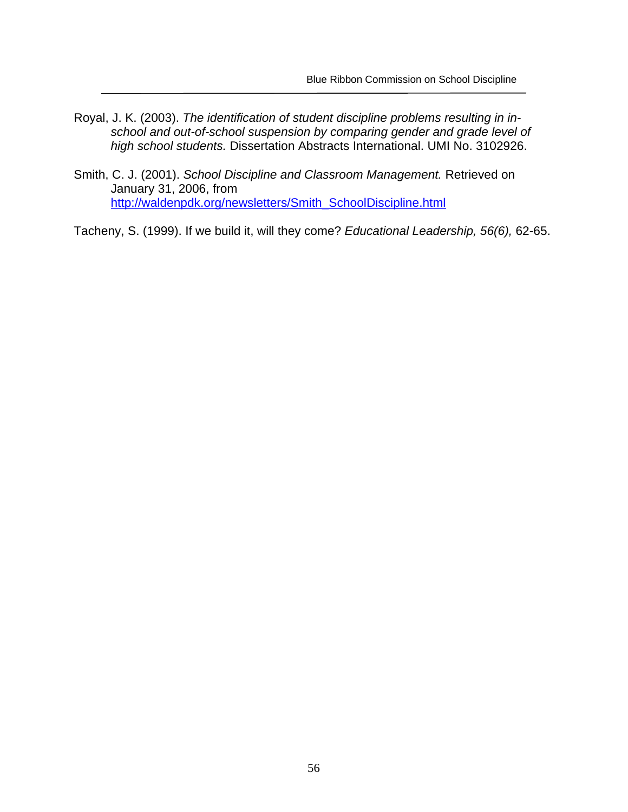- Royal, J. K. (2003). *The identification of student discipline problems resulting in inschool and out-of-school suspension by comparing gender and grade level of high school students.* Dissertation Abstracts International. UMI No. 3102926.
- Smith, C. J. (2001). *School Discipline and Classroom Management.* Retrieved on January 31, 2006, from http://waldenpdk.org/newsletters/Smith\_SchoolDiscipline.html

Tacheny, S. (1999). If we build it, will they come? *Educational Leadership, 56(6),* 62-65.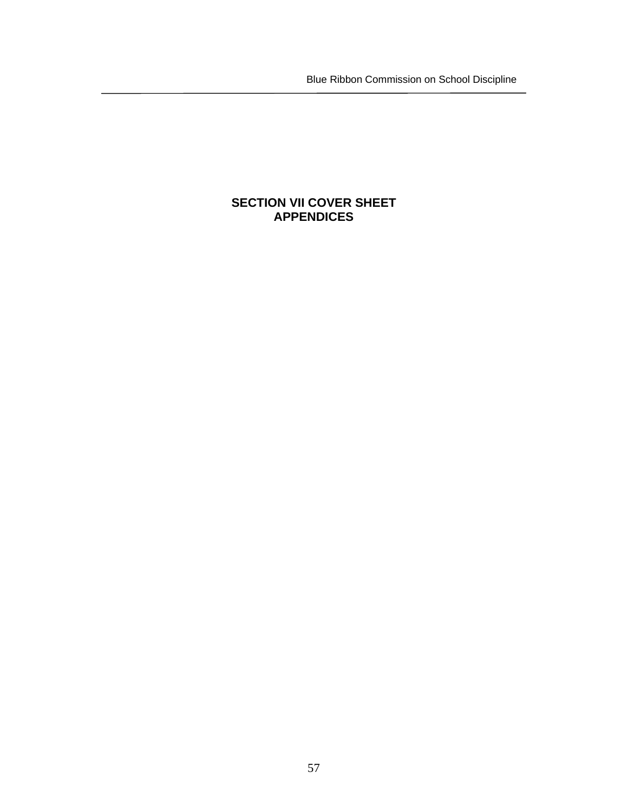Blue Ribbon Commission on School Discipline

# **SECTION VII COVER SHEET APPENDICES**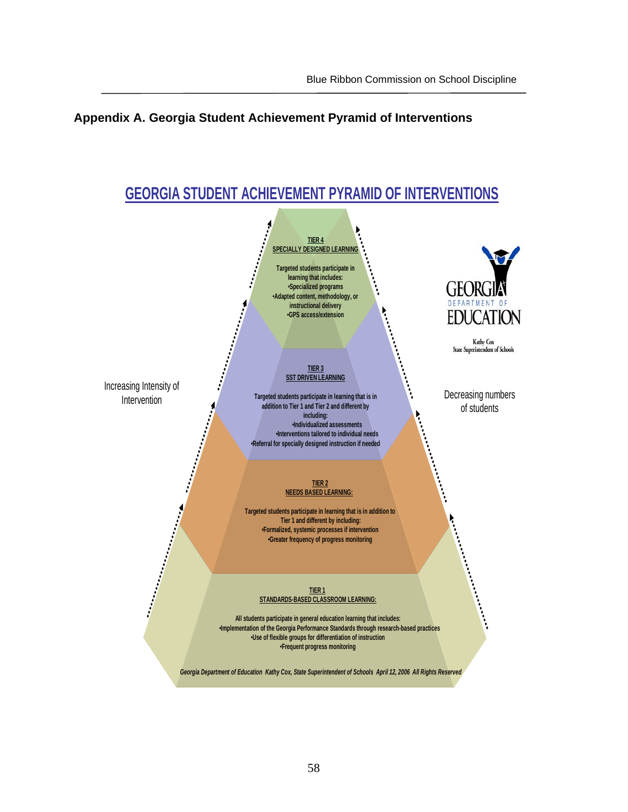# **Appendix A. Georgia Student Achievement Pyramid of Interventions**

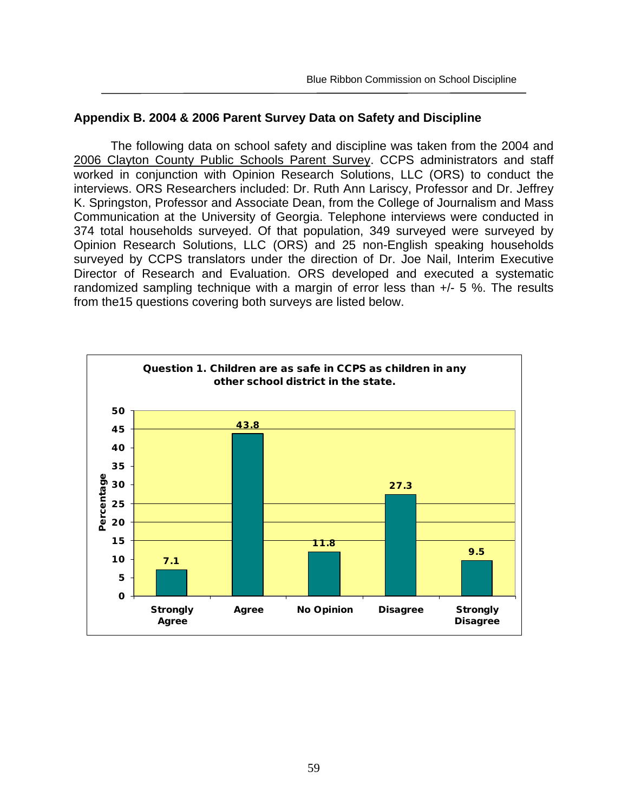#### **Appendix B. 2004 & 2006 Parent Survey Data on Safety and Discipline**

The following data on school safety and discipline was taken from the 2004 and 2006 Clayton County Public Schools Parent Survey. CCPS administrators and staff worked in conjunction with Opinion Research Solutions, LLC (ORS) to conduct the interviews. ORS Researchers included: Dr. Ruth Ann Lariscy, Professor and Dr. Jeffrey K. Springston, Professor and Associate Dean, from the College of Journalism and Mass Communication at the University of Georgia. Telephone interviews were conducted in 374 total households surveyed. Of that population, 349 surveyed were surveyed by Opinion Research Solutions, LLC (ORS) and 25 non-English speaking households surveyed by CCPS translators under the direction of Dr. Joe Nail, Interim Executive Director of Research and Evaluation. ORS developed and executed a systematic randomized sampling technique with a margin of error less than +/- 5 %. The results from the15 questions covering both surveys are listed below.

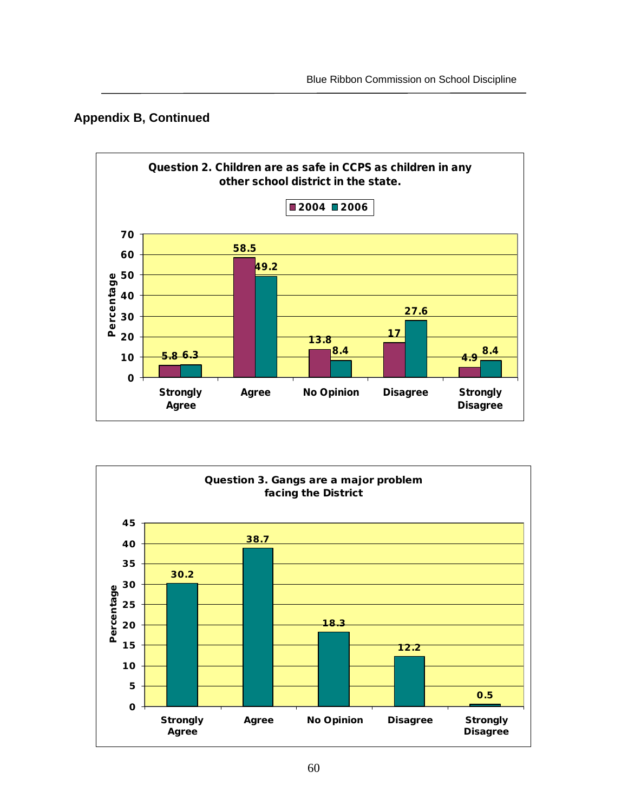



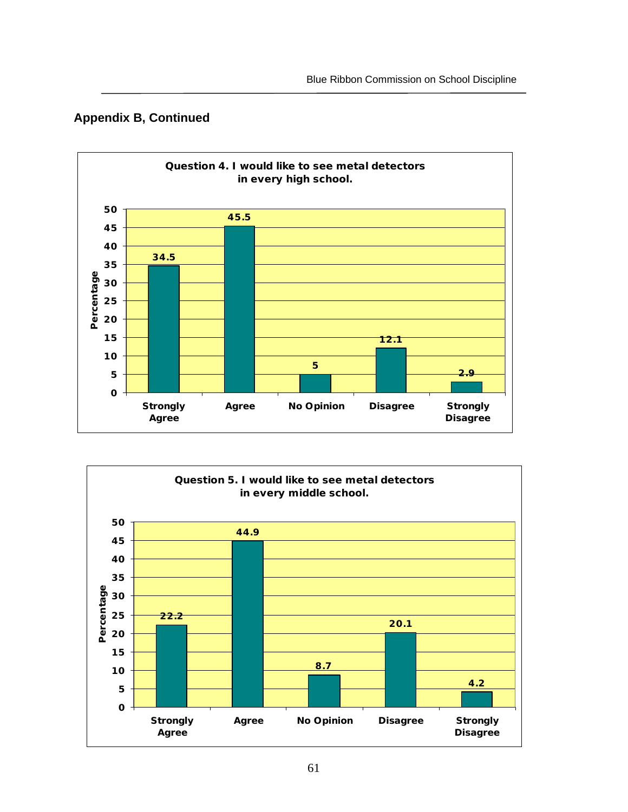



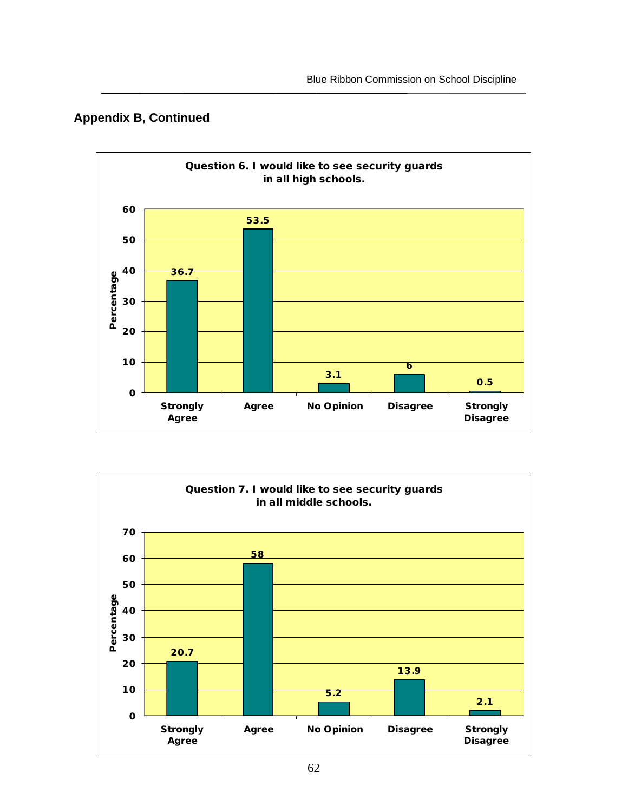# **Appendix B, Continued**



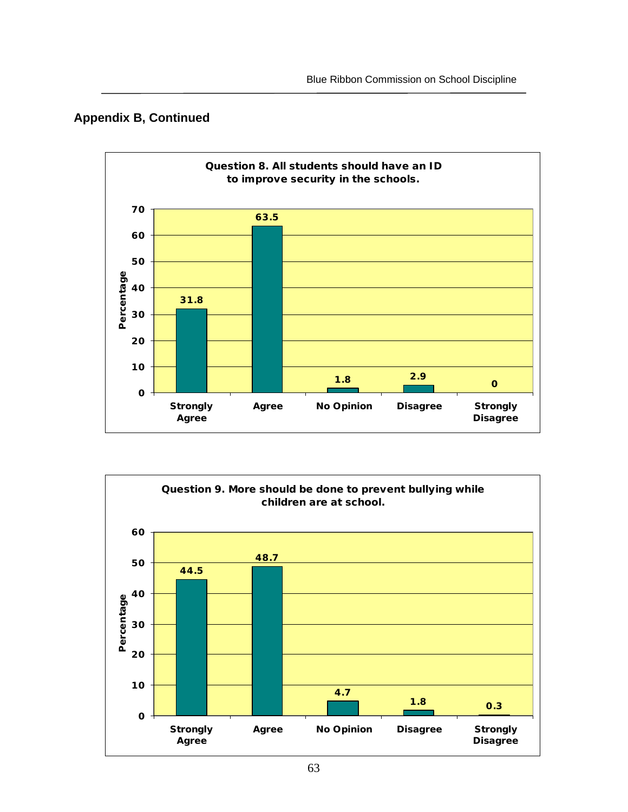



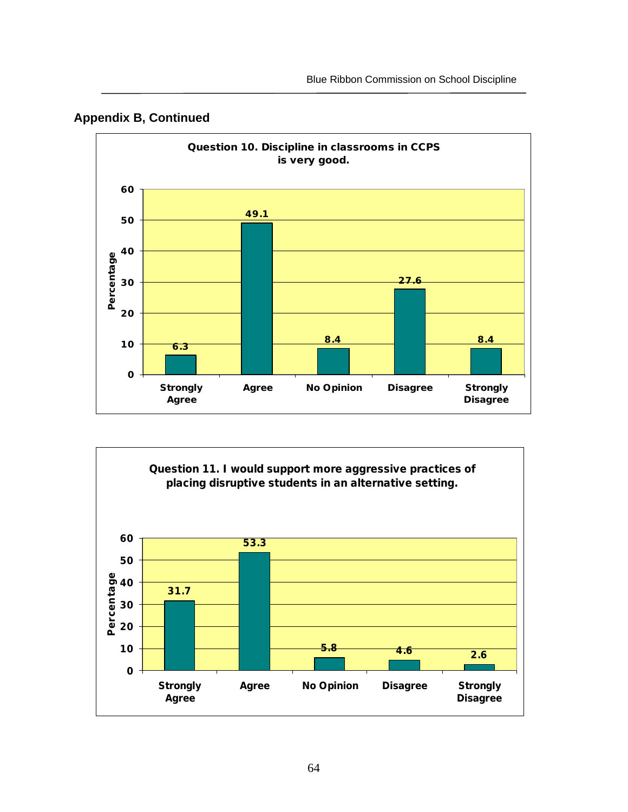



![](_page_64_Figure_3.jpeg)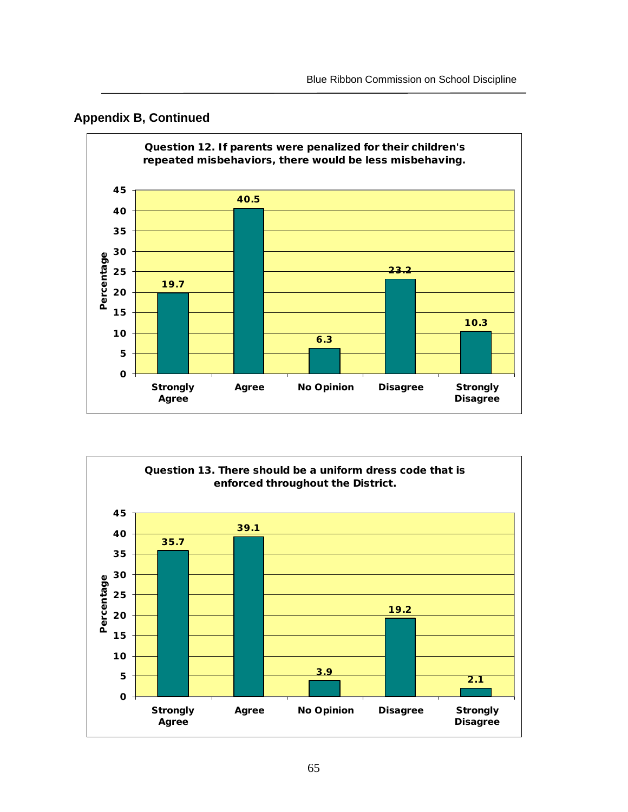![](_page_65_Figure_1.jpeg)

### **Appendix B, Continued**

![](_page_65_Figure_3.jpeg)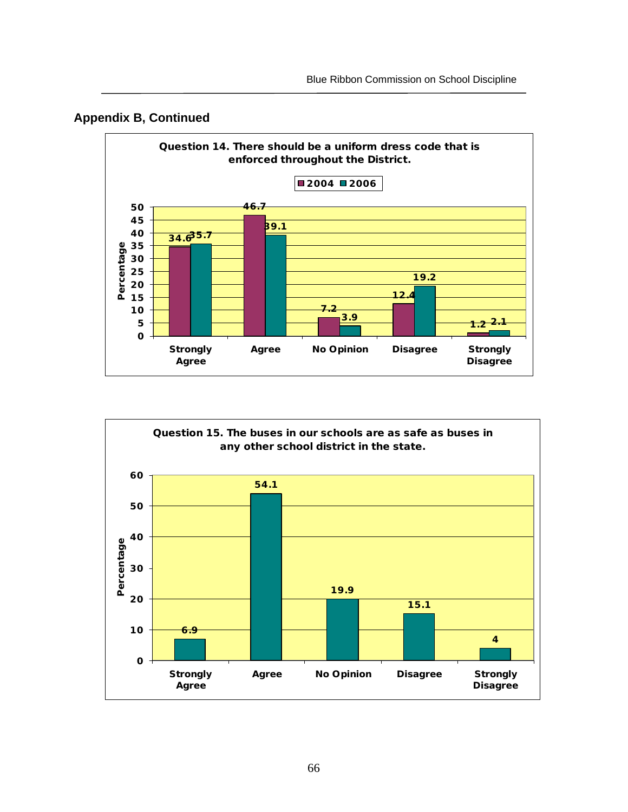![](_page_66_Figure_1.jpeg)

![](_page_66_Figure_2.jpeg)

![](_page_66_Figure_3.jpeg)